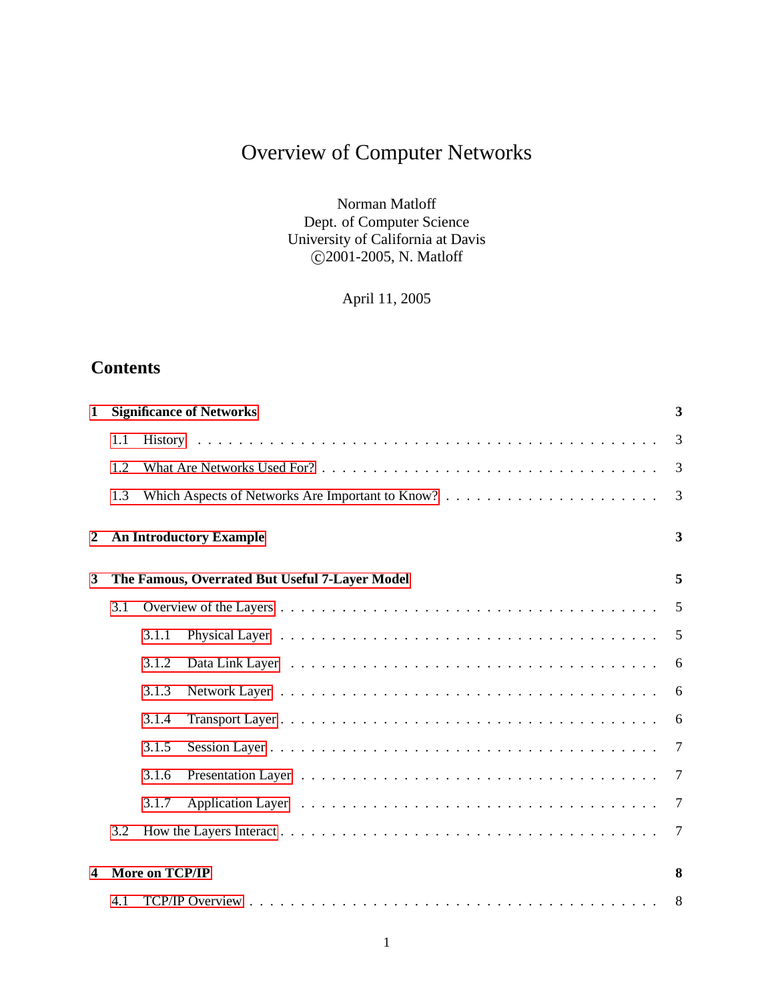# Overview of Computer Networks

Norman Matloff Dept. of Computer Science University of California at Davis c 2001-2005, N. Matloff

April 11, 2005

# **Contents**

| 1 |     |                                                | <b>Significance of Networks</b> | 3              |  |  |  |
|---|-----|------------------------------------------------|---------------------------------|----------------|--|--|--|
|   | 1.1 |                                                |                                 | 3              |  |  |  |
|   | 1.2 |                                                |                                 | $\overline{3}$ |  |  |  |
|   | 1.3 |                                                |                                 | 3              |  |  |  |
| 2 |     | <b>An Introductory Example</b>                 |                                 |                |  |  |  |
| 3 |     | The Famous, Overrated But Useful 7-Layer Model | 5                               |                |  |  |  |
|   | 3.1 |                                                |                                 | 5              |  |  |  |
|   |     | 3.1.1                                          |                                 | 5              |  |  |  |
|   |     | 3.1.2                                          |                                 | 6              |  |  |  |
|   |     | 3.1.3                                          |                                 | 6              |  |  |  |
|   |     | 3.1.4                                          |                                 | 6              |  |  |  |
|   |     | 3.1.5                                          |                                 | 7              |  |  |  |
|   |     | 3.1.6                                          |                                 | 7              |  |  |  |
|   |     | 3.1.7                                          |                                 | 7              |  |  |  |
|   | 3.2 |                                                |                                 | 7              |  |  |  |
| 4 |     | More on TCP/IP                                 |                                 | 8              |  |  |  |
|   | 4.1 |                                                |                                 | 8              |  |  |  |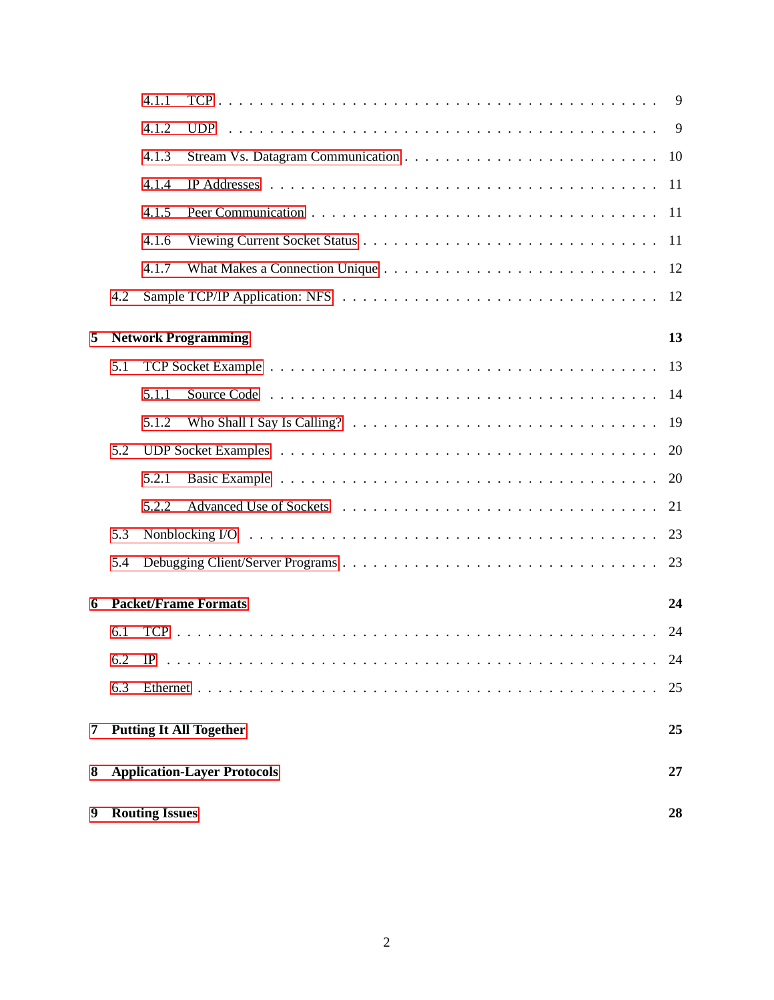|   |                                          | 9<br>4.1.1 |                            |    |  |  |  |  |
|---|------------------------------------------|------------|----------------------------|----|--|--|--|--|
|   |                                          | 4.1.2      |                            |    |  |  |  |  |
|   |                                          | 4.1.3      |                            |    |  |  |  |  |
|   |                                          | 4.1.4      |                            |    |  |  |  |  |
|   |                                          | 4.1.5      |                            |    |  |  |  |  |
|   |                                          | 4.1.6      |                            |    |  |  |  |  |
|   |                                          | 4.1.7      |                            |    |  |  |  |  |
|   | 4.2                                      |            |                            |    |  |  |  |  |
| 5 |                                          |            | <b>Network Programming</b> | 13 |  |  |  |  |
|   |                                          |            |                            |    |  |  |  |  |
|   | 5.1                                      |            |                            |    |  |  |  |  |
|   |                                          | 5.1.1      |                            |    |  |  |  |  |
|   | 5.1.2                                    |            |                            |    |  |  |  |  |
|   | 5.2                                      |            |                            |    |  |  |  |  |
|   |                                          | 5.2.1      |                            | 20 |  |  |  |  |
|   |                                          | 5.2.2      |                            | 21 |  |  |  |  |
|   | 5.3                                      |            |                            |    |  |  |  |  |
|   | 5.4                                      |            |                            |    |  |  |  |  |
| 6 | <b>Packet/Frame Formats</b><br>24        |            |                            |    |  |  |  |  |
|   | 6.1                                      |            |                            | 24 |  |  |  |  |
|   | 6.2                                      |            |                            | 24 |  |  |  |  |
|   | 6.3                                      |            |                            | 25 |  |  |  |  |
| 7 | <b>Putting It All Together</b><br>25     |            |                            |    |  |  |  |  |
| 8 | <b>Application-Layer Protocols</b><br>27 |            |                            |    |  |  |  |  |
| 9 | <b>Routing Issues</b>                    |            |                            |    |  |  |  |  |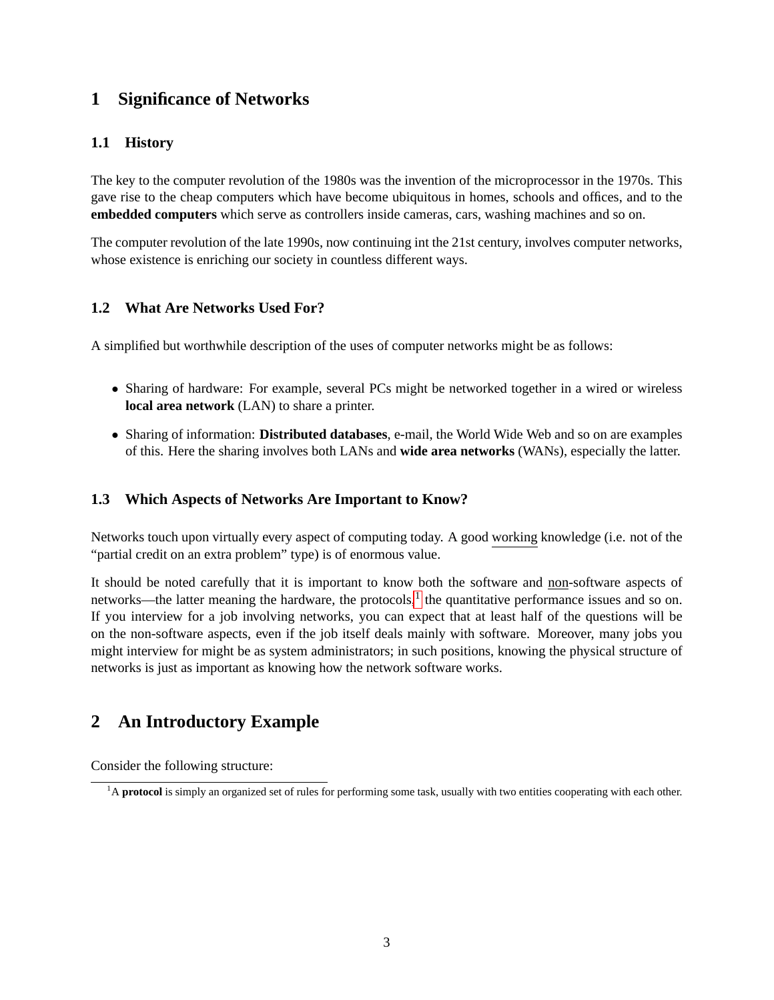# <span id="page-2-0"></span>**1 Significance of Networks**

# <span id="page-2-1"></span>**1.1 History**

The key to the computer revolution of the 1980s was the invention of the microprocessor in the 1970s. This gave rise to the cheap computers which have become ubiquitous in homes, schools and offices, and to the **embedded computers** which serve as controllers inside cameras, cars, washing machines and so on.

The computer revolution of the late 1990s, now continuing int the 21st century, involves computer networks, whose existence is enriching our society in countless different ways.

# <span id="page-2-2"></span>**1.2 What Are Networks Used For?**

A simplified but worthwhile description of the uses of computer networks might be as follows:

- Sharing of hardware: For example, several PCs might be networked together in a wired or wireless **local area network** (LAN) to share a printer.
- Sharing of information: **Distributed databases**, e-mail, the World Wide Web and so on are examples of this. Here the sharing involves both LANs and **wide area networks** (WANs), especially the latter.

# <span id="page-2-3"></span>**1.3 Which Aspects of Networks Are Important to Know?**

Networks touch upon virtually every aspect of computing today. A good working knowledge (i.e. not of the "partial credit on an extra problem" type) is of enormous value.

It should be noted carefully that it is important to know both the software and non-software aspects of networks—the latter meaning the hardware, the protocols, $<sup>1</sup>$  $<sup>1</sup>$  $<sup>1</sup>$  the quantitative performance issues and so on.</sup> If you interview for a job involving networks, you can expect that at least half of the questions will be on the non-software aspects, even if the job itself deals mainly with software. Moreover, many jobs you might interview for might be as system administrators; in such positions, knowing the physical structure of networks is just as important as knowing how the network software works.

# <span id="page-2-4"></span>**2 An Introductory Example**

Consider the following structure:

<span id="page-2-5"></span><sup>&</sup>lt;sup>1</sup>A protocol is simply an organized set of rules for performing some task, usually with two entities cooperating with each other.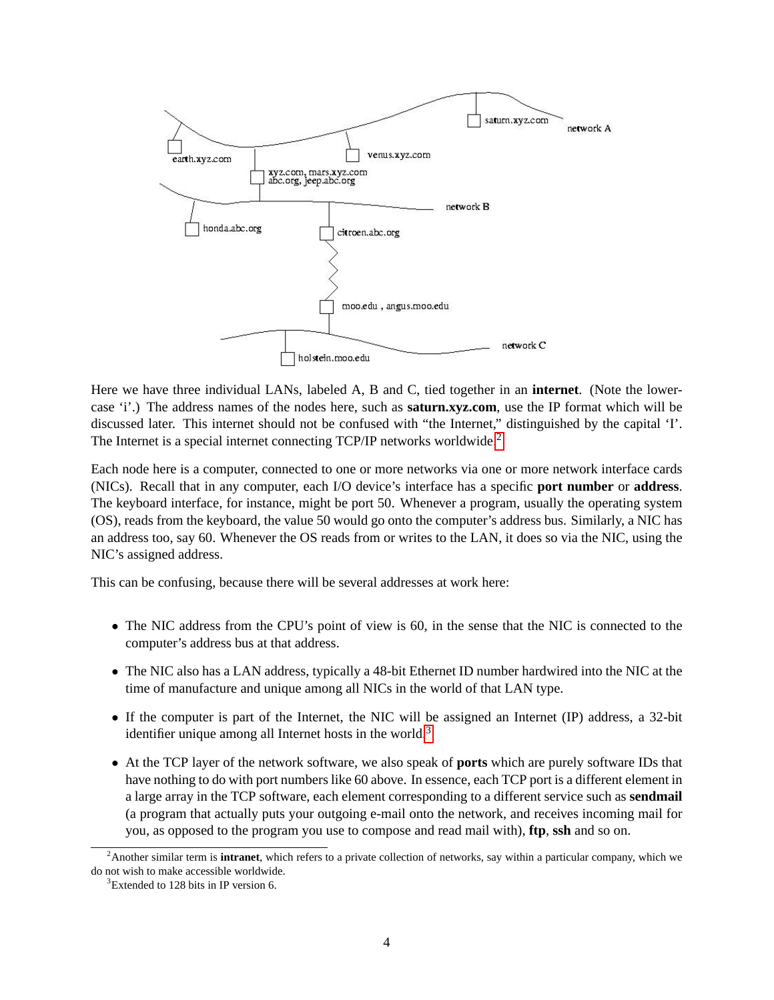

Here we have three individual LANs, labeled A, B and C, tied together in an **internet**. (Note the lowercase 'i'.) The address names of the nodes here, such as **saturn.xyz.com**, use the IP format which will be discussed later. This internet should not be confused with "the Internet," distinguished by the capital 'I'. The Internet is a special internet connecting TCP/IP networks worldwide.<sup>[2](#page-3-0)</sup>

Each node here is a computer, connected to one or more networks via one or more network interface cards (NICs). Recall that in any computer, each I/O device's interface has a specific **port number** or **address**. The keyboard interface, for instance, might be port 50. Whenever a program, usually the operating system (OS), reads from the keyboard, the value 50 would go onto the computer's address bus. Similarly, a NIC has an address too, say 60. Whenever the OS reads from or writes to the LAN, it does so via the NIC, using the NIC's assigned address.

This can be confusing, because there will be several addresses at work here:

- The NIC address from the CPU's point of view is 60, in the sense that the NIC is connected to the computer's address bus at that address.
- The NIC also has a LAN address, typically a 48-bit Ethernet ID number hardwired into the NIC at the time of manufacture and unique among all NICs in the world of that LAN type.
- If the computer is part of the Internet, the NIC will be assigned an Internet (IP) address, a 32-bit identifier unique among all Internet hosts in the world. $3$
- At the TCP layer of the network software, we also speak of **ports** which are purely software IDs that have nothing to do with port numbers like 60 above. In essence, each TCP port is a different element in a large array in the TCP software, each element corresponding to a different service such as **sendmail** (a program that actually puts your outgoing e-mail onto the network, and receives incoming mail for you, as opposed to the program you use to compose and read mail with), **ftp**, **ssh** and so on.

<span id="page-3-0"></span><sup>2</sup>Another similar term is **intranet**, which refers to a private collection of networks, say within a particular company, which we do not wish to make accessible worldwide.

<span id="page-3-1"></span><sup>&</sup>lt;sup>3</sup>Extended to 128 bits in IP version 6.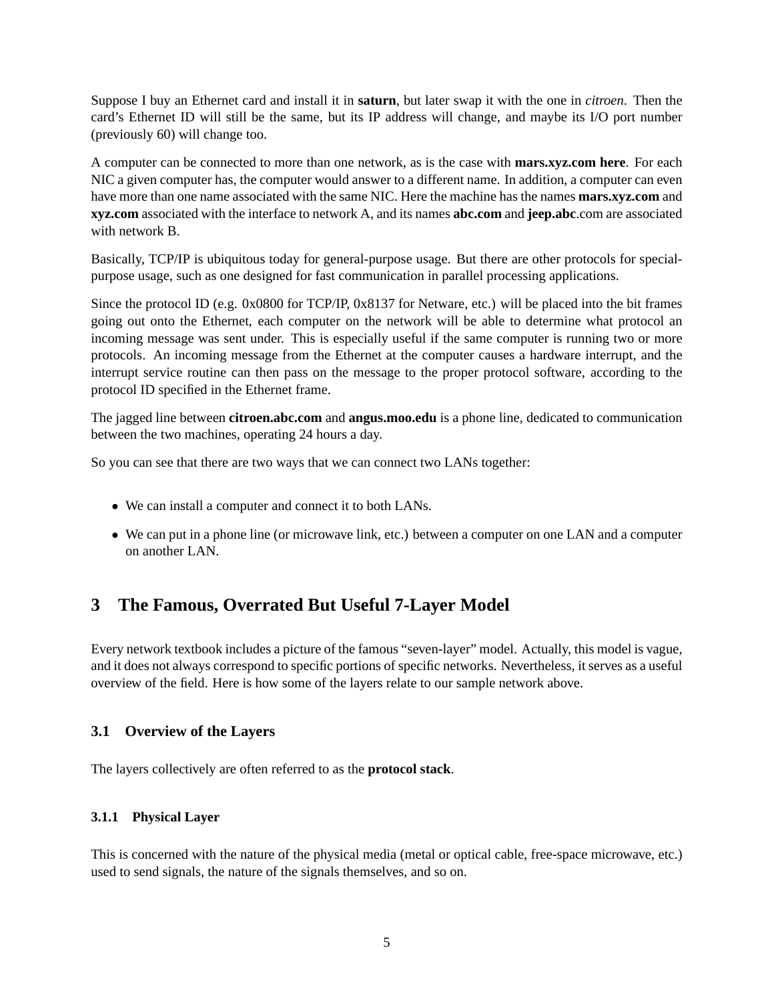Suppose I buy an Ethernet card and install it in **saturn**, but later swap it with the one in *citroen*. Then the card's Ethernet ID will still be the same, but its IP address will change, and maybe its I/O port number (previously 60) will change too.

A computer can be connected to more than one network, as is the case with **mars.xyz.com here**. For each NIC a given computer has, the computer would answer to a different name. In addition, a computer can even have more than one name associated with the same NIC. Here the machine has the names **mars.xyz.com** and **xyz.com** associated with the interface to network A, and its names **abc.com** and **jeep.abc**.com are associated with network B.

Basically, TCP/IP is ubiquitous today for general-purpose usage. But there are other protocols for specialpurpose usage, such as one designed for fast communication in parallel processing applications.

Since the protocol ID (e.g. 0x0800 for TCP/IP, 0x8137 for Netware, etc.) will be placed into the bit frames going out onto the Ethernet, each computer on the network will be able to determine what protocol an incoming message was sent under. This is especially useful if the same computer is running two or more protocols. An incoming message from the Ethernet at the computer causes a hardware interrupt, and the interrupt service routine can then pass on the message to the proper protocol software, according to the protocol ID specified in the Ethernet frame.

The jagged line between **citroen.abc.com** and **angus.moo.edu** is a phone line, dedicated to communication between the two machines, operating 24 hours a day.

So you can see that there are two ways that we can connect two LANs together:

- We can install a computer and connect it to both LANs.
- We can put in a phone line (or microwave link, etc.) between a computer on one LAN and a computer on another LAN.

# <span id="page-4-0"></span>**3 The Famous, Overrated But Useful 7-Layer Model**

Every network textbook includes a picture of the famous "seven-layer" model. Actually, this model is vague, and it does not always correspond to specific portions of specific networks. Nevertheless, it serves as a useful overview of the field. Here is how some of the layers relate to our sample network above.

# <span id="page-4-1"></span>**3.1 Overview of the Layers**

The layers collectively are often referred to as the **protocol stack**.

#### <span id="page-4-2"></span>**3.1.1 Physical Layer**

This is concerned with the nature of the physical media (metal or optical cable, free-space microwave, etc.) used to send signals, the nature of the signals themselves, and so on.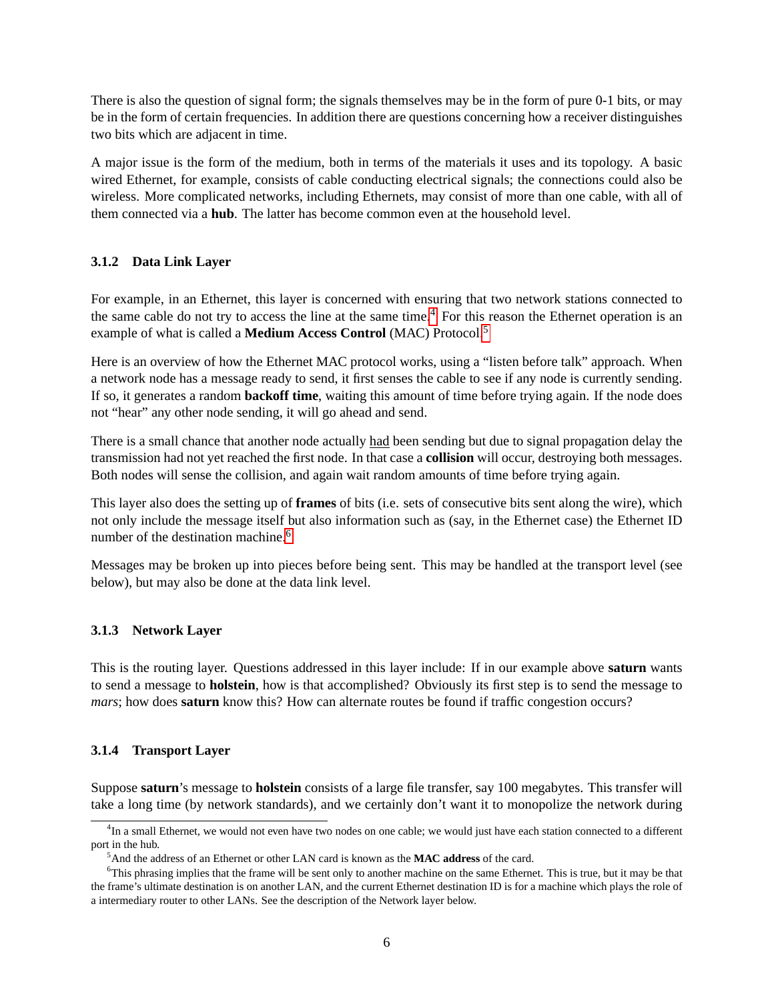There is also the question of signal form; the signals themselves may be in the form of pure 0-1 bits, or may be in the form of certain frequencies. In addition there are questions concerning how a receiver distinguishes two bits which are adjacent in time.

A major issue is the form of the medium, both in terms of the materials it uses and its topology. A basic wired Ethernet, for example, consists of cable conducting electrical signals; the connections could also be wireless. More complicated networks, including Ethernets, may consist of more than one cable, with all of them connected via a **hub**. The latter has become common even at the household level.

### <span id="page-5-0"></span>**3.1.2 Data Link Layer**

For example, in an Ethernet, this layer is concerned with ensuring that two network stations connected to the same cable do not try to access the line at the same time.[4](#page-5-3) For this reason the Ethernet operation is an example of what is called a **Medium Access Control** (MAC) Protocol.[5](#page-5-4)

Here is an overview of how the Ethernet MAC protocol works, using a "listen before talk" approach. When a network node has a message ready to send, it first senses the cable to see if any node is currently sending. If so, it generates a random **backoff time**, waiting this amount of time before trying again. If the node does not "hear" any other node sending, it will go ahead and send.

There is a small chance that another node actually had been sending but due to signal propagation delay the transmission had not yet reached the first node. In that case a **collision** will occur, destroying both messages. Both nodes will sense the collision, and again wait random amounts of time before trying again.

This layer also does the setting up of **frames** of bits (i.e. sets of consecutive bits sent along the wire), which not only include the message itself but also information such as (say, in the Ethernet case) the Ethernet ID number of the destination machine.<sup>[6](#page-5-5)</sup>

Messages may be broken up into pieces before being sent. This may be handled at the transport level (see below), but may also be done at the data link level.

#### <span id="page-5-1"></span>**3.1.3 Network Layer**

This is the routing layer. Questions addressed in this layer include: If in our example above **saturn** wants to send a message to **holstein**, how is that accomplished? Obviously its first step is to send the message to *mars*; how does **saturn** know this? How can alternate routes be found if traffic congestion occurs?

#### <span id="page-5-2"></span>**3.1.4 Transport Layer**

Suppose **saturn**'s message to **holstein** consists of a large file transfer, say 100 megabytes. This transfer will take a long time (by network standards), and we certainly don't want it to monopolize the network during

<span id="page-5-3"></span><sup>&</sup>lt;sup>4</sup>In a small Ethernet, we would not even have two nodes on one cable; we would just have each station connected to a different port in the hub.

<span id="page-5-5"></span><span id="page-5-4"></span><sup>5</sup>And the address of an Ethernet or other LAN card is known as the **MAC address** of the card.

<sup>6</sup>This phrasing implies that the frame will be sent only to another machine on the same Ethernet. This is true, but it may be that the frame's ultimate destination is on another LAN, and the current Ethernet destination ID is for a machine which plays the role of a intermediary router to other LANs. See the description of the Network layer below.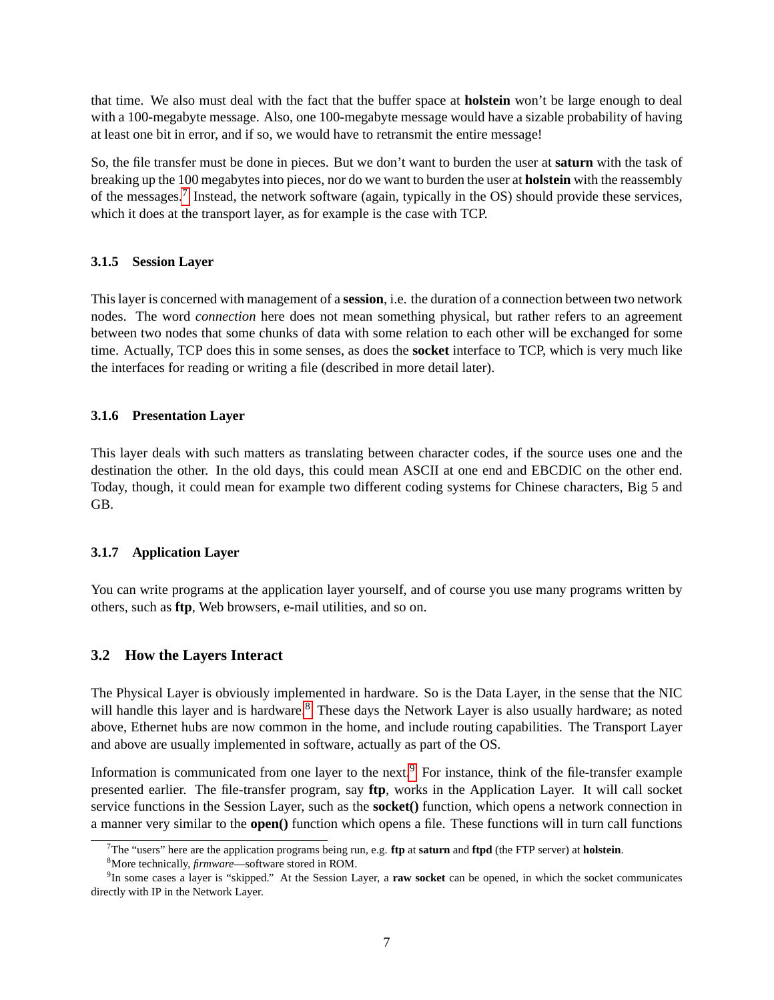that time. We also must deal with the fact that the buffer space at **holstein** won't be large enough to deal with a 100-megabyte message. Also, one 100-megabyte message would have a sizable probability of having at least one bit in error, and if so, we would have to retransmit the entire message!

So, the file transfer must be done in pieces. But we don't want to burden the user at **saturn** with the task of breaking up the 100 megabytes into pieces, nor do we want to burden the user at **holstein** with the reassembly of the messages.<sup>[7](#page-6-4)</sup> Instead, the network software (again, typically in the OS) should provide these services, which it does at the transport layer, as for example is the case with TCP.

### <span id="page-6-0"></span>**3.1.5 Session Layer**

This layer is concerned with management of a **session**, i.e. the duration of a connection between two network nodes. The word *connection* here does not mean something physical, but rather refers to an agreement between two nodes that some chunks of data with some relation to each other will be exchanged for some time. Actually, TCP does this in some senses, as does the **socket** interface to TCP, which is very much like the interfaces for reading or writing a file (described in more detail later).

#### <span id="page-6-1"></span>**3.1.6 Presentation Layer**

This layer deals with such matters as translating between character codes, if the source uses one and the destination the other. In the old days, this could mean ASCII at one end and EBCDIC on the other end. Today, though, it could mean for example two different coding systems for Chinese characters, Big 5 and GB.

#### <span id="page-6-2"></span>**3.1.7 Application Layer**

You can write programs at the application layer yourself, and of course you use many programs written by others, such as **ftp**, Web browsers, e-mail utilities, and so on.

# <span id="page-6-3"></span>**3.2 How the Layers Interact**

The Physical Layer is obviously implemented in hardware. So is the Data Layer, in the sense that the NIC will handle this layer and is hardware.<sup>[8](#page-6-5)</sup> These days the Network Layer is also usually hardware; as noted above, Ethernet hubs are now common in the home, and include routing capabilities. The Transport Layer and above are usually implemented in software, actually as part of the OS.

Information is communicated from one layer to the next.<sup>[9](#page-6-6)</sup> For instance, think of the file-transfer example presented earlier. The file-transfer program, say **ftp**, works in the Application Layer. It will call socket service functions in the Session Layer, such as the **socket()** function, which opens a network connection in a manner very similar to the **open()** function which opens a file. These functions will in turn call functions

<span id="page-6-4"></span><sup>7</sup>The "users" here are the application programs being run, e.g. **ftp** at **saturn** and **ftpd** (the FTP server) at **holstein**.

<span id="page-6-6"></span><span id="page-6-5"></span><sup>8</sup>More technically, *firmware*—software stored in ROM.

<sup>9</sup> In some cases a layer is "skipped." At the Session Layer, a **raw socket** can be opened, in which the socket communicates directly with IP in the Network Layer.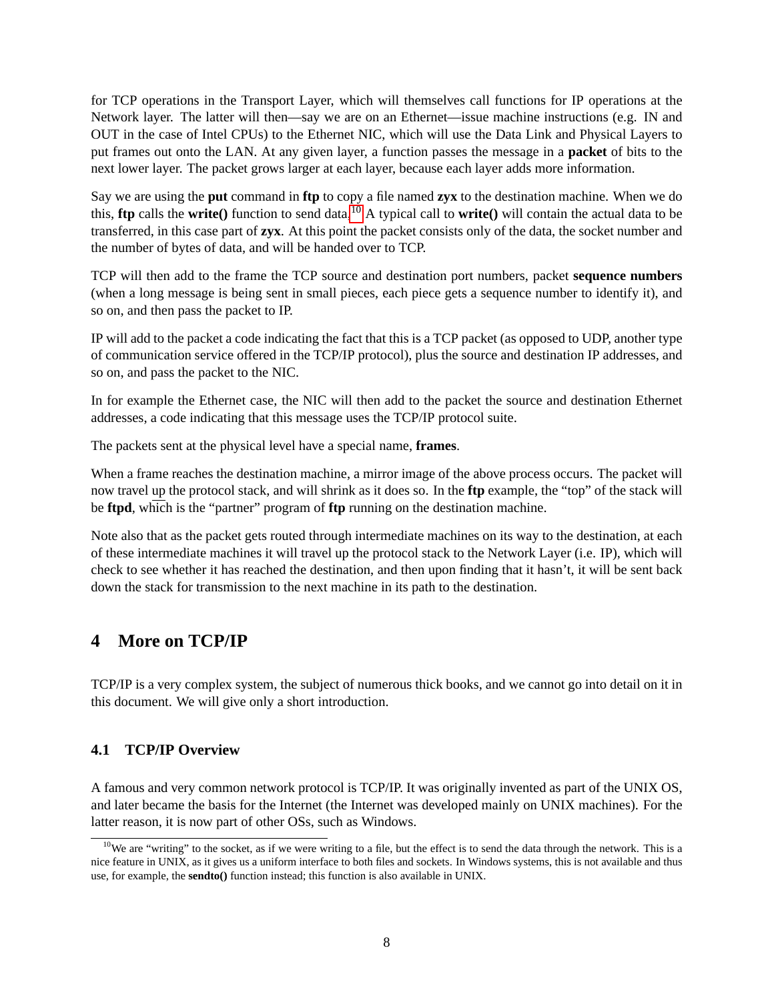for TCP operations in the Transport Layer, which will themselves call functions for IP operations at the Network layer. The latter will then—say we are on an Ethernet—issue machine instructions (e.g. IN and OUT in the case of Intel CPUs) to the Ethernet NIC, which will use the Data Link and Physical Layers to put frames out onto the LAN. At any given layer, a function passes the message in a **packet** of bits to the next lower layer. The packet grows larger at each layer, because each layer adds more information.

Say we are using the **put** command in **ftp** to copy a file named **zyx** to the destination machine. When we do this, **ftp** calls the **write()** function to send data,[10](#page-7-2) A typical call to **write()** will contain the actual data to be transferred, in this case part of **zyx**. At this point the packet consists only of the data, the socket number and the number of bytes of data, and will be handed over to TCP.

TCP will then add to the frame the TCP source and destination port numbers, packet **sequence numbers** (when a long message is being sent in small pieces, each piece gets a sequence number to identify it), and so on, and then pass the packet to IP.

IP will add to the packet a code indicating the fact that this is a TCP packet (as opposed to UDP, another type of communication service offered in the TCP/IP protocol), plus the source and destination IP addresses, and so on, and pass the packet to the NIC.

In for example the Ethernet case, the NIC will then add to the packet the source and destination Ethernet addresses, a code indicating that this message uses the TCP/IP protocol suite.

The packets sent at the physical level have a special name, **frames**.

When a frame reaches the destination machine, a mirror image of the above process occurs. The packet will now travel up the protocol stack, and will shrink as it does so. In the **ftp** example, the "top" of the stack will be **ftpd**, which is the "partner" program of **ftp** running on the destination machine.

Note also that as the packet gets routed through intermediate machines on its way to the destination, at each of these intermediate machines it will travel up the protocol stack to the Network Layer (i.e. IP), which will check to see whether it has reached the destination, and then upon finding that it hasn't, it will be sent back down the stack for transmission to the next machine in its path to the destination.

# <span id="page-7-0"></span>**4 More on TCP/IP**

TCP/IP is a very complex system, the subject of numerous thick books, and we cannot go into detail on it in this document. We will give only a short introduction.

# <span id="page-7-1"></span>**4.1 TCP/IP Overview**

A famous and very common network protocol is TCP/IP. It was originally invented as part of the UNIX OS, and later became the basis for the Internet (the Internet was developed mainly on UNIX machines). For the latter reason, it is now part of other OSs, such as Windows.

<span id="page-7-2"></span> $10$ We are "writing" to the socket, as if we were writing to a file, but the effect is to send the data through the network. This is a nice feature in UNIX, as it gives us a uniform interface to both files and sockets. In Windows systems, this is not available and thus use, for example, the **sendto()** function instead; this function is also available in UNIX.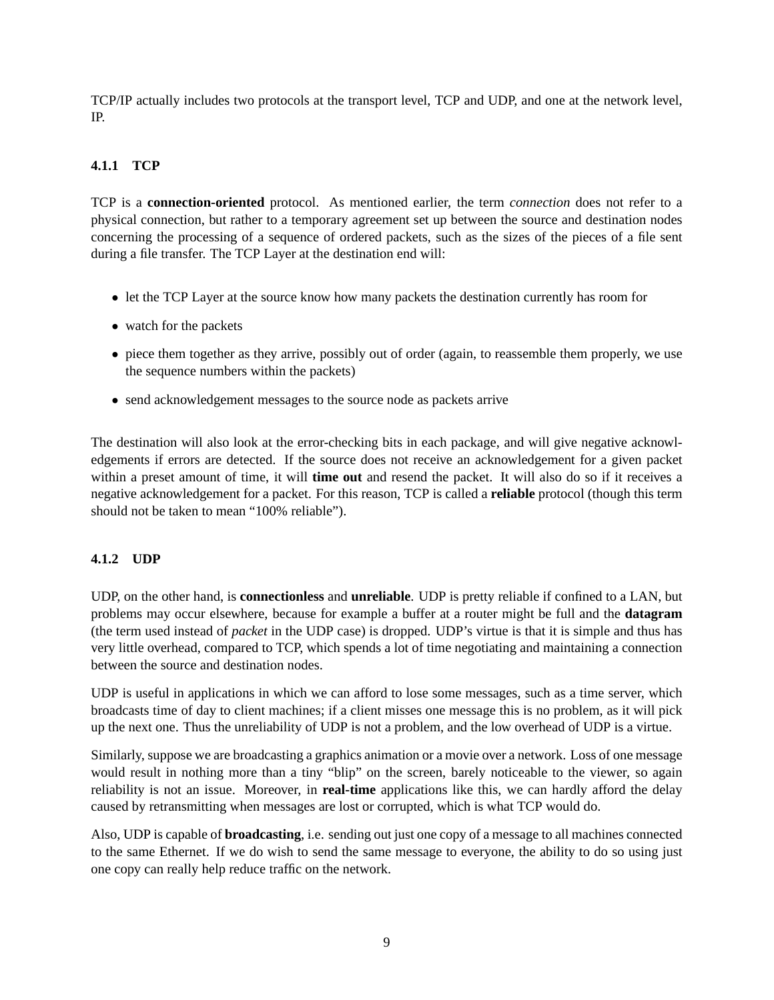TCP/IP actually includes two protocols at the transport level, TCP and UDP, and one at the network level, IP.

# <span id="page-8-0"></span>**4.1.1 TCP**

TCP is a **connection-oriented** protocol. As mentioned earlier, the term *connection* does not refer to a physical connection, but rather to a temporary agreement set up between the source and destination nodes concerning the processing of a sequence of ordered packets, such as the sizes of the pieces of a file sent during a file transfer. The TCP Layer at the destination end will:

- let the TCP Layer at the source know how many packets the destination currently has room for
- watch for the packets
- piece them together as they arrive, possibly out of order (again, to reassemble them properly, we use the sequence numbers within the packets)
- send acknowledgement messages to the source node as packets arrive

The destination will also look at the error-checking bits in each package, and will give negative acknowledgements if errors are detected. If the source does not receive an acknowledgement for a given packet within a preset amount of time, it will **time out** and resend the packet. It will also do so if it receives a negative acknowledgement for a packet. For this reason, TCP is called a **reliable** protocol (though this term should not be taken to mean "100% reliable").

# <span id="page-8-1"></span>**4.1.2 UDP**

UDP, on the other hand, is **connectionless** and **unreliable**. UDP is pretty reliable if confined to a LAN, but problems may occur elsewhere, because for example a buffer at a router might be full and the **datagram** (the term used instead of *packet* in the UDP case) is dropped. UDP's virtue is that it is simple and thus has very little overhead, compared to TCP, which spends a lot of time negotiating and maintaining a connection between the source and destination nodes.

UDP is useful in applications in which we can afford to lose some messages, such as a time server, which broadcasts time of day to client machines; if a client misses one message this is no problem, as it will pick up the next one. Thus the unreliability of UDP is not a problem, and the low overhead of UDP is a virtue.

Similarly, suppose we are broadcasting a graphics animation or a movie over a network. Loss of one message would result in nothing more than a tiny "blip" on the screen, barely noticeable to the viewer, so again reliability is not an issue. Moreover, in **real-time** applications like this, we can hardly afford the delay caused by retransmitting when messages are lost or corrupted, which is what TCP would do.

Also, UDP is capable of **broadcasting**, i.e. sending out just one copy of a message to all machines connected to the same Ethernet. If we do wish to send the same message to everyone, the ability to do so using just one copy can really help reduce traffic on the network.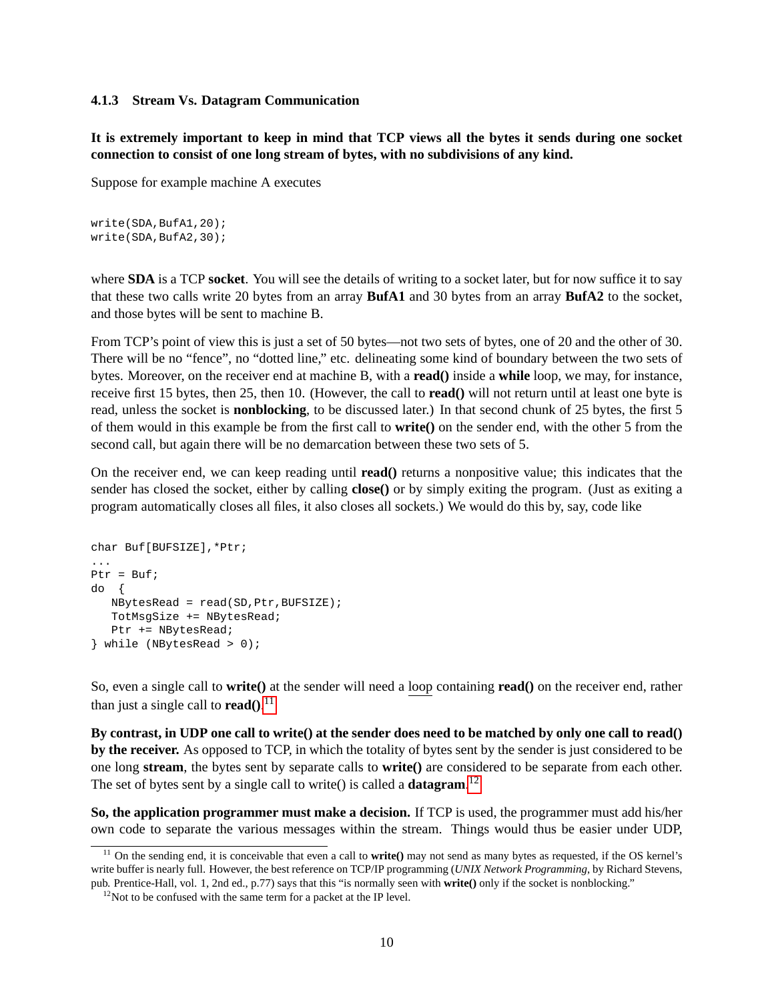#### <span id="page-9-0"></span>**4.1.3 Stream Vs. Datagram Communication**

**It is extremely important to keep in mind that TCP views all the bytes it sends during one socket connection to consist of one long stream of bytes, with no subdivisions of any kind.**

Suppose for example machine A executes

```
write(SDA,BufA1,20);
write(SDA,BufA2,30);
```
where **SDA** is a TCP **socket**. You will see the details of writing to a socket later, but for now suffice it to say that these two calls write 20 bytes from an array **BufA1** and 30 bytes from an array **BufA2** to the socket, and those bytes will be sent to machine B.

From TCP's point of view this is just a set of 50 bytes—not two sets of bytes, one of 20 and the other of 30. There will be no "fence", no "dotted line," etc. delineating some kind of boundary between the two sets of bytes. Moreover, on the receiver end at machine B, with a **read()** inside a **while** loop, we may, for instance, receive first 15 bytes, then 25, then 10. (However, the call to **read()** will not return until at least one byte is read, unless the socket is **nonblocking**, to be discussed later.) In that second chunk of 25 bytes, the first 5 of them would in this example be from the first call to **write()** on the sender end, with the other 5 from the second call, but again there will be no demarcation between these two sets of 5.

On the receiver end, we can keep reading until **read()** returns a nonpositive value; this indicates that the sender has closed the socket, either by calling **close()** or by simply exiting the program. (Just as exiting a program automatically closes all files, it also closes all sockets.) We would do this by, say, code like

```
char Buf[BUFSIZE],*Ptr;
...
Ptr = But;do {
  NBytesRead = read(SD,Ptr,BUFSIZE);
  TotMsgSize += NBytesRead;
  Ptr += NBytesRead;
} while (NBytesRead > 0);
```
So, even a single call to **write()** at the sender will need a loop containing **read()** on the receiver end, rather than just a single call to **read()**. [11](#page-9-1)

**By contrast, in UDP one call to write() at the sender does need to be matched by only one call to read() by the receiver.** As opposed to TCP, in which the totality of bytes sent by the sender is just considered to be one long **stream**, the bytes sent by separate calls to **write()** are considered to be separate from each other. The set of bytes sent by a single call to write() is called a **datagram**. [12](#page-9-2)

**So, the application programmer must make a decision.** If TCP is used, the programmer must add his/her own code to separate the various messages within the stream. Things would thus be easier under UDP,

<span id="page-9-1"></span><sup>&</sup>lt;sup>11</sup> On the sending end, it is conceivable that even a call to **write**() may not send as many bytes as requested, if the OS kernel's write buffer is nearly full. However, the best reference on TCP/IP programming (*UNIX Network Programming*, by Richard Stevens, pub. Prentice-Hall, vol. 1, 2nd ed., p.77) says that this "is normally seen with **write()** only if the socket is nonblocking."

<span id="page-9-2"></span> $12$ Not to be confused with the same term for a packet at the IP level.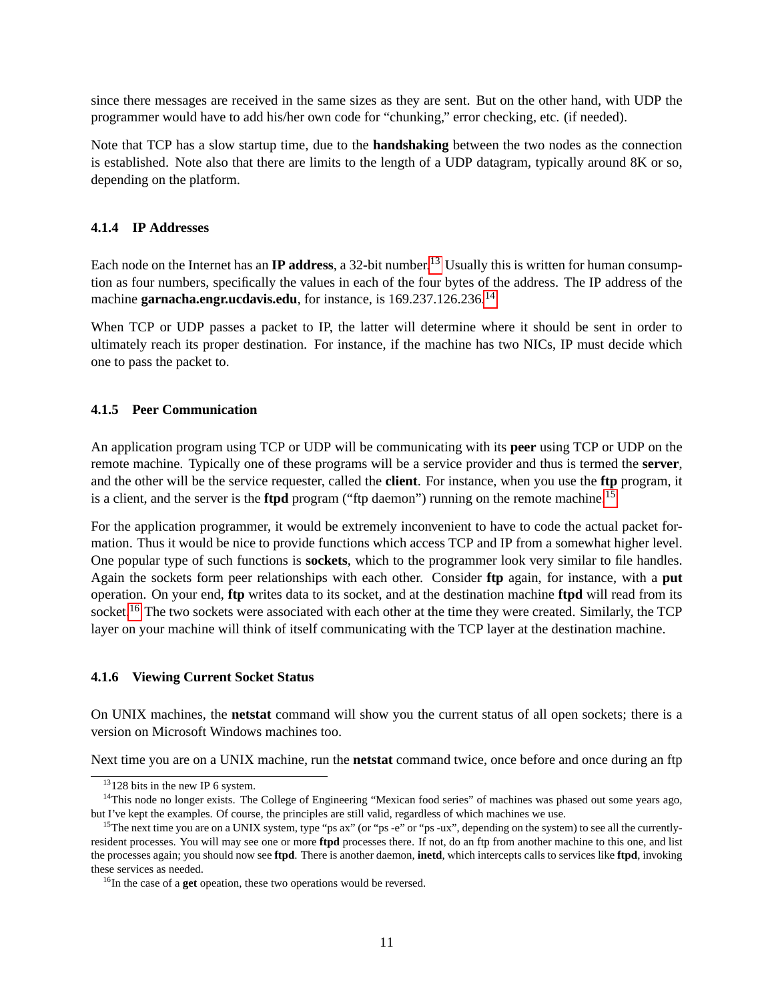since there messages are received in the same sizes as they are sent. But on the other hand, with UDP the programmer would have to add his/her own code for "chunking," error checking, etc. (if needed).

Note that TCP has a slow startup time, due to the **handshaking** between the two nodes as the connection is established. Note also that there are limits to the length of a UDP datagram, typically around 8K or so, depending on the platform.

#### <span id="page-10-0"></span>**4.1.4 IP Addresses**

Each node on the Internet has an **IP address**, a 32-bit number.<sup>[13](#page-10-3)</sup> Usually this is written for human consumption as four numbers, specifically the values in each of the four bytes of the address. The IP address of the machine **garnacha.engr.ucdavis.edu**, for instance, is 169.237.126.236.[14](#page-10-4)

When TCP or UDP passes a packet to IP, the latter will determine where it should be sent in order to ultimately reach its proper destination. For instance, if the machine has two NICs, IP must decide which one to pass the packet to.

#### <span id="page-10-1"></span>**4.1.5 Peer Communication**

An application program using TCP or UDP will be communicating with its **peer** using TCP or UDP on the remote machine. Typically one of these programs will be a service provider and thus is termed the **server**, and the other will be the service requester, called the **client**. For instance, when you use the **ftp** program, it is a client, and the server is the **ftpd** program ("ftp daemon") running on the remote machine.<sup>[15](#page-10-5)</sup>

For the application programmer, it would be extremely inconvenient to have to code the actual packet formation. Thus it would be nice to provide functions which access TCP and IP from a somewhat higher level. One popular type of such functions is **sockets**, which to the programmer look very similar to file handles. Again the sockets form peer relationships with each other. Consider **ftp** again, for instance, with a **put** operation. On your end, **ftp** writes data to its socket, and at the destination machine **ftpd** will read from its socket.<sup>[16](#page-10-6)</sup> The two sockets were associated with each other at the time they were created. Similarly, the TCP layer on your machine will think of itself communicating with the TCP layer at the destination machine.

#### <span id="page-10-2"></span>**4.1.6 Viewing Current Socket Status**

On UNIX machines, the **netstat** command will show you the current status of all open sockets; there is a version on Microsoft Windows machines too.

Next time you are on a UNIX machine, run the **netstat** command twice, once before and once during an ftp

<span id="page-10-4"></span><span id="page-10-3"></span> $13128$  bits in the new IP 6 system.

<sup>&</sup>lt;sup>14</sup>This node no longer exists. The College of Engineering "Mexican food series" of machines was phased out some years ago, but I've kept the examples. Of course, the principles are still valid, regardless of which machines we use.

<span id="page-10-5"></span><sup>&</sup>lt;sup>15</sup>The next time you are on a UNIX system, type "ps ax" (or "ps -e" or "ps -ux", depending on the system) to see all the currentlyresident processes. You will may see one or more **ftpd** processes there. If not, do an ftp from another machine to this one, and list the processes again; you should now see **ftpd**. There is another daemon, **inetd**, which intercepts calls to services like **ftpd**, invoking these services as needed.

<span id="page-10-6"></span><sup>&</sup>lt;sup>16</sup>In the case of a **get** opeation, these two operations would be reversed.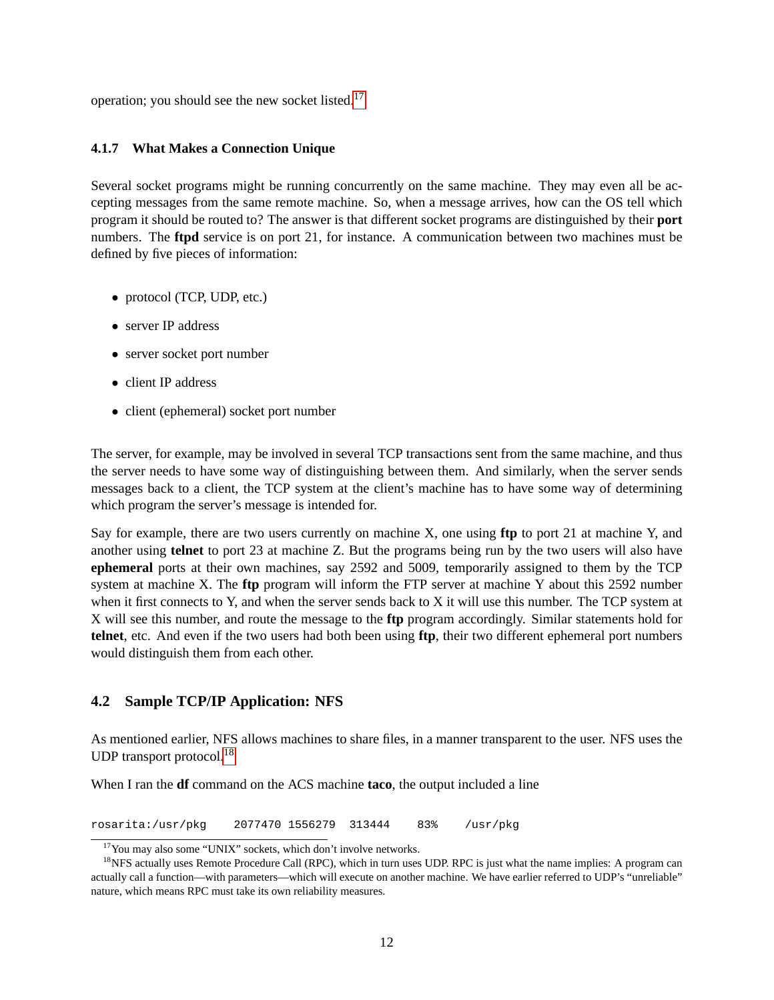operation; you should see the new socket listed.[17](#page-11-2)

#### <span id="page-11-0"></span>**4.1.7 What Makes a Connection Unique**

Several socket programs might be running concurrently on the same machine. They may even all be accepting messages from the same remote machine. So, when a message arrives, how can the OS tell which program it should be routed to? The answer is that different socket programs are distinguished by their **port** numbers. The **ftpd** service is on port 21, for instance. A communication between two machines must be defined by five pieces of information:

- protocol (TCP, UDP, etc.)
- server IP address
- server socket port number
- client IP address
- client (ephemeral) socket port number

The server, for example, may be involved in several TCP transactions sent from the same machine, and thus the server needs to have some way of distinguishing between them. And similarly, when the server sends messages back to a client, the TCP system at the client's machine has to have some way of determining which program the server's message is intended for.

Say for example, there are two users currently on machine X, one using **ftp** to port 21 at machine Y, and another using **telnet** to port 23 at machine Z. But the programs being run by the two users will also have **ephemeral** ports at their own machines, say 2592 and 5009, temporarily assigned to them by the TCP system at machine X. The **ftp** program will inform the FTP server at machine Y about this 2592 number when it first connects to Y, and when the server sends back to X it will use this number. The TCP system at X will see this number, and route the message to the **ftp** program accordingly. Similar statements hold for **telnet**, etc. And even if the two users had both been using **ftp**, their two different ephemeral port numbers would distinguish them from each other.

# <span id="page-11-1"></span>**4.2 Sample TCP/IP Application: NFS**

As mentioned earlier, NFS allows machines to share files, in a manner transparent to the user. NFS uses the UDP transport protocol.<sup>[18](#page-11-3)</sup>

When I ran the **df** command on the ACS machine **taco**, the output included a line

rosarita:/usr/pkg 2077470 1556279 313444 83% /usr/pkg

<span id="page-11-3"></span><span id="page-11-2"></span><sup>&</sup>lt;sup>17</sup>You may also some "UNIX" sockets, which don't involve networks.

<sup>&</sup>lt;sup>18</sup>NFS actually uses Remote Procedure Call (RPC), which in turn uses UDP. RPC is just what the name implies: A program can actually call a function—with parameters—which will execute on another machine. We have earlier referred to UDP's "unreliable" nature, which means RPC must take its own reliability measures.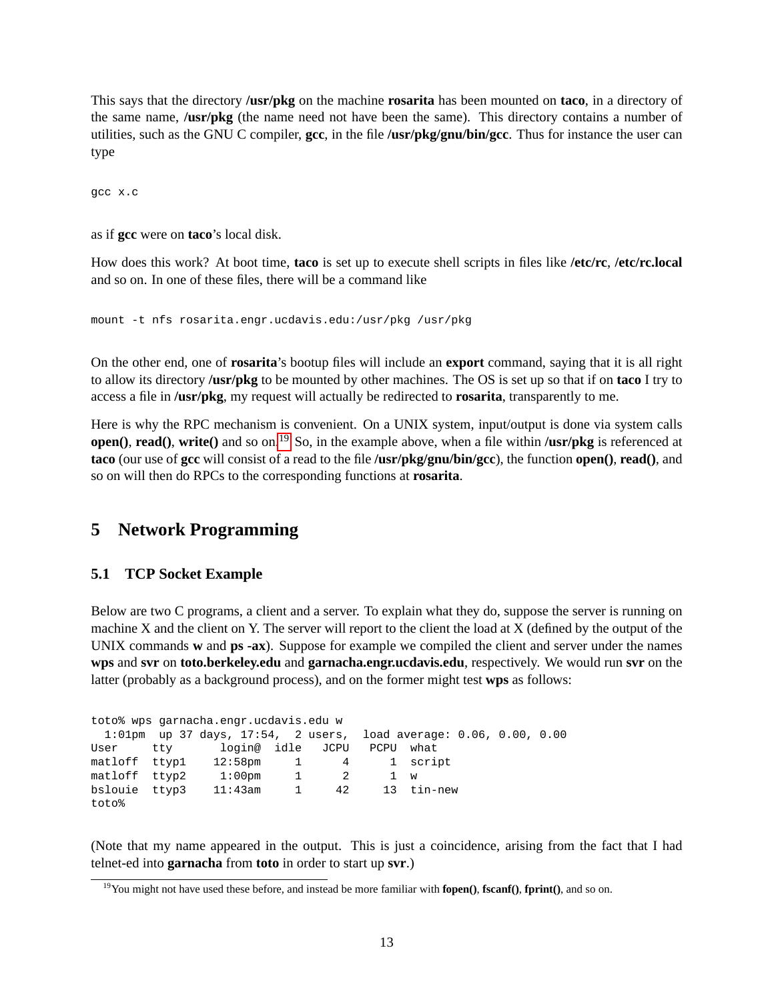This says that the directory **/usr/pkg** on the machine **rosarita** has been mounted on **taco**, in a directory of the same name, **/usr/pkg** (the name need not have been the same). This directory contains a number of utilities, such as the GNU C compiler, **gcc**, in the file **/usr/pkg/gnu/bin/gcc**. Thus for instance the user can type

gcc x.c

as if **gcc** were on **taco**'s local disk.

How does this work? At boot time, **taco** is set up to execute shell scripts in files like **/etc/rc**, **/etc/rc.local** and so on. In one of these files, there will be a command like

mount -t nfs rosarita.engr.ucdavis.edu:/usr/pkg /usr/pkg

On the other end, one of **rosarita**'s bootup files will include an **export** command, saying that it is all right to allow its directory **/usr/pkg** to be mounted by other machines. The OS is set up so that if on **taco** I try to access a file in **/usr/pkg**, my request will actually be redirected to **rosarita**, transparently to me.

Here is why the RPC mechanism is convenient. On a UNIX system, input/output is done via system calls **open()**, **read()**, **write()** and so on.<sup>[19](#page-12-2)</sup> So, in the example above, when a file within **/usr/pkg** is referenced at **taco** (our use of **gcc** will consist of a read to the file **/usr/pkg/gnu/bin/gcc**), the function **open()**, **read()**, and so on will then do RPCs to the corresponding functions at **rosarita**.

# <span id="page-12-0"></span>**5 Network Programming**

# <span id="page-12-1"></span>**5.1 TCP Socket Example**

Below are two C programs, a client and a server. To explain what they do, suppose the server is running on machine X and the client on Y. The server will report to the client the load at X (defined by the output of the UNIX commands **w** and **ps -ax**). Suppose for example we compiled the client and server under the names **wps** and **svr** on **toto.berkeley.edu** and **garnacha.engr.ucdavis.edu**, respectively. We would run **svr** on the latter (probably as a background process), and on the former might test **wps** as follows:

| toto% wps garnacha.engr.ucdavis.edu w |  |                                                                         |  |  |           |  |  |  |
|---------------------------------------|--|-------------------------------------------------------------------------|--|--|-----------|--|--|--|
|                                       |  | $1:01$ pm up 37 days, $17:54$ , 2 users, load average: 0.06, 0.00, 0.00 |  |  |           |  |  |  |
|                                       |  | User tty login@ idle JCPU                                               |  |  | PCPU what |  |  |  |
|                                       |  | matloff ttyp1 12:58pm 1 4 1 script                                      |  |  |           |  |  |  |
| matloff ttyp2                         |  | $1:00$ pm $1$ 2                                                         |  |  | 1 w       |  |  |  |
|                                       |  | bslouie ttyp3 11:43am 1 42 13 tin-new                                   |  |  |           |  |  |  |
| toto%                                 |  |                                                                         |  |  |           |  |  |  |

(Note that my name appeared in the output. This is just a coincidence, arising from the fact that I had telnet-ed into **garnacha** from **toto** in order to start up **svr**.)

<span id="page-12-2"></span><sup>19</sup>You might not have used these before, and instead be more familiar with **fopen()**, **fscanf()**, **fprint()**, and so on.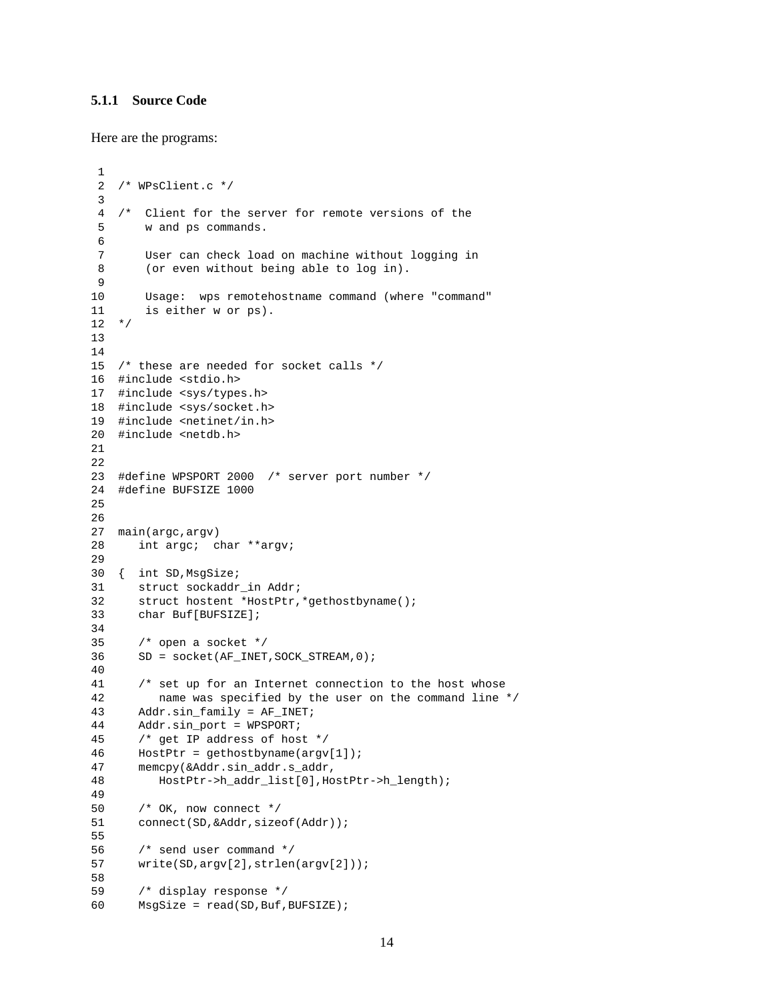#### <span id="page-13-0"></span>**5.1.1 Source Code**

Here are the programs:

```
1
 2 /* WPsClient.c */
 3
 4 /* Client for the server for remote versions of the
 5 w and ps commands.
 6
 7 User can check load on machine without logging in
 8 (or even without being able to log in).
9
10 Usage: wps remotehostname command (where "command"
11 is either w or ps).
12 */13
14
15 /* these are needed for socket calls */
16 #include <stdio.h>
17 #include <sys/types.h>
18 #include <sys/socket.h>
19 #include <netinet/in.h>
20 #include <netdb.h>
21
22
23 #define WPSPORT 2000 /* server port number */
24 #define BUFSIZE 1000
25
26
27 main(argc,argv)
28 int argc; char **argv;
29
30 { int SD,MsgSize;
31 struct sockaddr_in Addr;
32 struct hostent *HostPtr,*gethostbyname();
33 char Buf[BUFSIZE];
34
35 /* open a socket */
36 SD = socket(AF_INET,SOCK_STREAM,0);
40
41 /* set up for an Internet connection to the host whose
42 name was specified by the user on the command line */
43 Addr.sin_family = AF_INET;
44 Addr.sin_port = WPSPORT;
45 /* get IP address of host */
46 HostPtr = qethostbyname(arqv[1]);
47 memcpy(&Addr.sin_addr.s_addr,
48 HostPtr->h_addr_list[0],HostPtr->h_length);
49
50 /* OK, now connect */
51 connect(SD, &Addr, sizeof(Addr));
55
56 /* send user command */
57 write(SD,argv[2],strlen(argv[2]));
58
59 /* display response */
60 MsgSize = read(SD,Buf,BUFSIZE);
```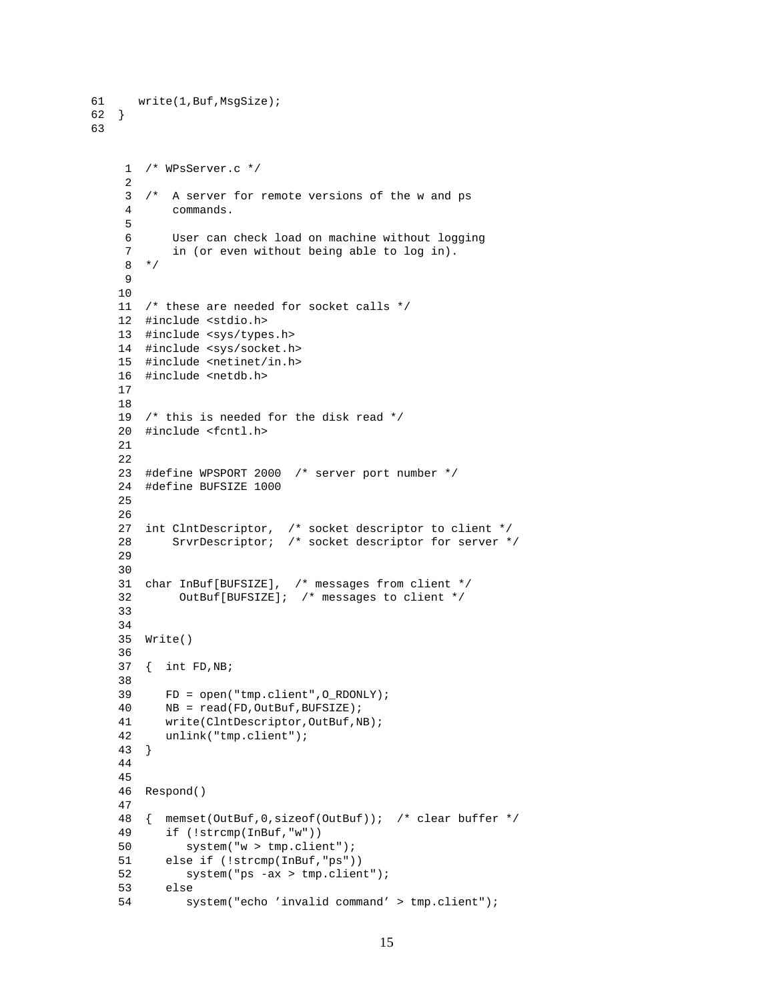```
61 write(1,Buf,MsgSize);
62 }
63
    1 /* WPsServer.c */
    2
    3 /* A server for remote versions of the w and ps
    4 commands.
    5
    6 User can check load on machine without logging
    7 in (or even without being able to log in).
    8 */
    9
   10
   11 /* these are needed for socket calls */
   12 #include <stdio.h>
   13 #include <sys/types.h>
   14 #include <sys/socket.h>
   15 #include <netinet/in.h>
   16 #include <netdb.h>
   17
   18
   19 /* this is needed for the disk read */
   20 #include <fcntl.h>
   21
   22
   23 #define WPSPORT 2000 /* server port number */
   24 #define BUFSIZE 1000
   25
   26
   27 int ClntDescriptor, /* socket descriptor to client */
   28 SrvrDescriptor; /* socket descriptor for server */
   29
   30
   31 char InBuf[BUFSIZE], /* messages from client */
   32 OutBuf[BUFSIZE]; /* messages to client */
   33
   34
   35 Write()
   36
   37 { int FD,NB;
   38
   39 FD = open("tmp.client",O_RDONLY);
   40 NB = read(FD, OutBuf, BUFSIZE);
   41 write(ClntDescriptor,OutBuf,NB);
   42 unlink("tmp.client");
   43 }
   44
   45
   46 Respond()
   47
   48 { memset(OutBuf,0,sizeof(OutBuf)); /* clear buffer */
   49 if (!strcmp(InBuf,"w"))
   50 system("w > tmp.client");
   51 else if (!strcmp(InBuf,"ps"))
   52 system("ps -ax > tmp.client");
   53 else
   54 system("echo 'invalid command' > tmp.client");
```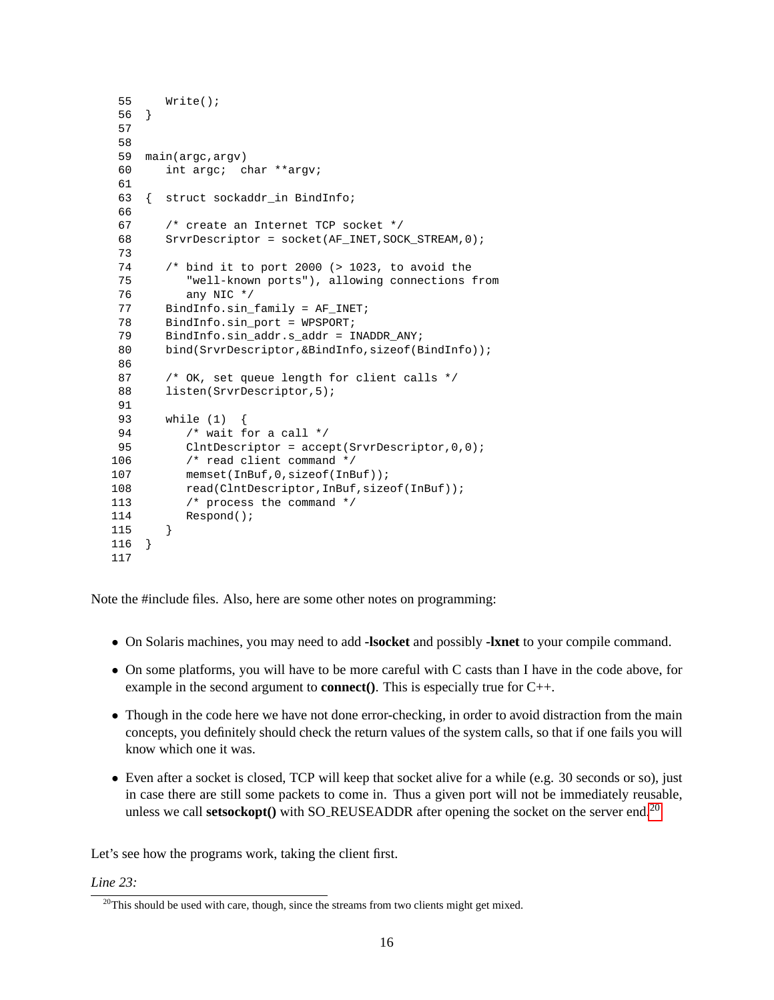```
55 Write();
 56 }
 57
 58
 59 main(argc,argv)
 60 int argc; char **argv;
 61
 63 { struct sockaddr_in BindInfo;
 66
 67 /* create an Internet TCP socket */
 68 SrvrDescriptor = socket(AF_INET,SOCK_STREAM,0);
 73
 74 /* bind it to port 2000 (> 1023, to avoid the
 75 "well-known ports"), allowing connections from
 76 any NIC */
 77 BindInfo.sin_family = AF_INET;
 78 BindInfo.sin port = WPSPORT;
 79 BindInfo.sin_addr.s_addr = INADDR_ANY;
 80 bind(SrvrDescriptor, &BindInfo, sizeof(BindInfo));
 86
 87 /* OK, set queue length for client calls */
 88 listen(SrvrDescriptor, 5);
 91
 93 while (1) {
 94 /* wait for a call */95 ClntDescriptor = accept(SrvrDescriptor, 0, 0);
106 /* read client command */
107 memset(InBuf, 0, sizeof(InBuf));
108 read(ClntDescriptor, InBuf, sizeof(InBuf));
113 /* process the command */
114 Respond();
115 }
116 }
117
```
Note the #include files. Also, here are some other notes on programming:

- On Solaris machines, you may need to add **-lsocket** and possibly **-lxnet** to your compile command.
- On some platforms, you will have to be more careful with C casts than I have in the code above, for example in the second argument to **connect()**. This is especially true for C++.
- Though in the code here we have not done error-checking, in order to avoid distraction from the main concepts, you definitely should check the return values of the system calls, so that if one fails you will know which one it was.
- Even after a socket is closed, TCP will keep that socket alive for a while (e.g. 30 seconds or so), just in case there are still some packets to come in. Thus a given port will not be immediately reusable, unless we call **setsockopt**() with SO\_REUSEADDR after opening the socket on the server end.<sup>[20](#page-15-0)</sup>

Let's see how the programs work, taking the client first.

#### *Line 23:*

<span id="page-15-0"></span> $20$ This should be used with care, though, since the streams from two clients might get mixed.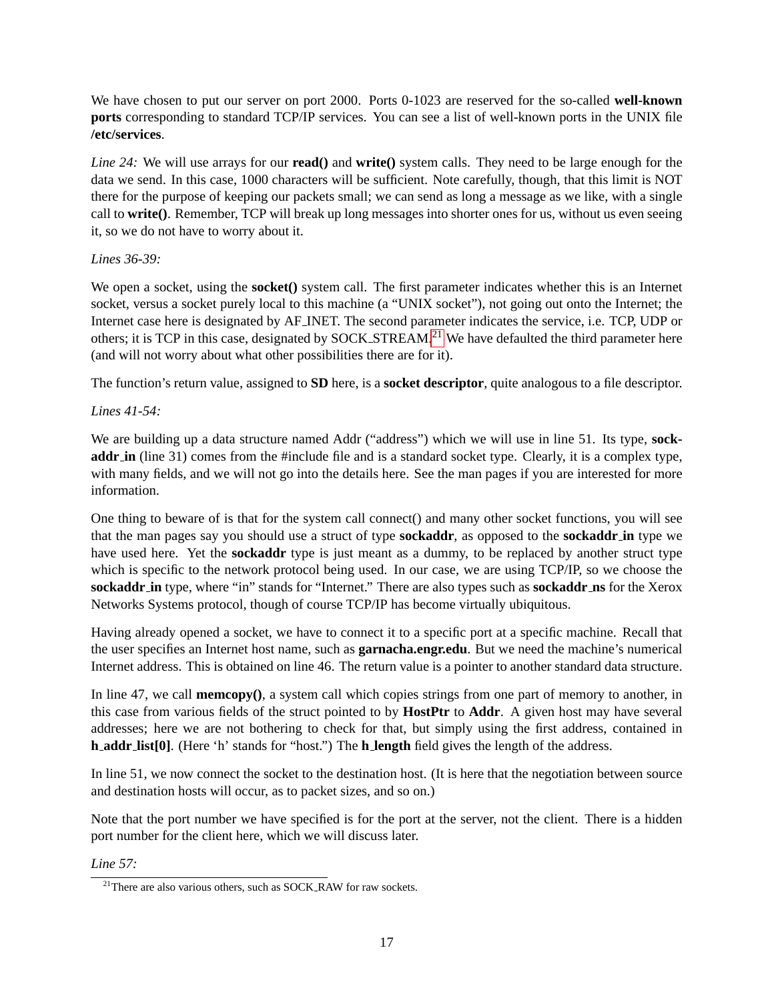We have chosen to put our server on port 2000. Ports 0-1023 are reserved for the so-called **well-known ports** corresponding to standard TCP/IP services. You can see a list of well-known ports in the UNIX file **/etc/services**.

*Line 24:* We will use arrays for our **read()** and **write()** system calls. They need to be large enough for the data we send. In this case, 1000 characters will be sufficient. Note carefully, though, that this limit is NOT there for the purpose of keeping our packets small; we can send as long a message as we like, with a single call to **write()**. Remember, TCP will break up long messages into shorter ones for us, without us even seeing it, so we do not have to worry about it.

#### *Lines 36-39:*

We open a socket, using the **socket**() system call. The first parameter indicates whether this is an Internet socket, versus a socket purely local to this machine (a "UNIX socket"), not going out onto the Internet; the Internet case here is designated by AF INET. The second parameter indicates the service, i.e. TCP, UDP or others; it is TCP in this case, designated by SOCK\_STREAM.<sup>[21](#page-16-0)</sup> We have defaulted the third parameter here (and will not worry about what other possibilities there are for it).

The function's return value, assigned to **SD** here, is a **socket descriptor**, quite analogous to a file descriptor.

### *Lines 41-54:*

We are building up a data structure named Addr ("address") which we will use in line 51. Its type, **sockaddr in** (line 31) comes from the #include file and is a standard socket type. Clearly, it is a complex type, with many fields, and we will not go into the details here. See the man pages if you are interested for more information.

One thing to beware of is that for the system call connect() and many other socket functions, you will see that the man pages say you should use a struct of type **sockaddr**, as opposed to the **sockaddr in** type we have used here. Yet the **sockaddr** type is just meant as a dummy, to be replaced by another struct type which is specific to the network protocol being used. In our case, we are using TCP/IP, so we choose the **sockaddr in** type, where "in" stands for "Internet." There are also types such as **sockaddr ns** for the Xerox Networks Systems protocol, though of course TCP/IP has become virtually ubiquitous.

Having already opened a socket, we have to connect it to a specific port at a specific machine. Recall that the user specifies an Internet host name, such as **garnacha.engr.edu**. But we need the machine's numerical Internet address. This is obtained on line 46. The return value is a pointer to another standard data structure.

In line 47, we call **memcopy()**, a system call which copies strings from one part of memory to another, in this case from various fields of the struct pointed to by **HostPtr** to **Addr**. A given host may have several addresses; here we are not bothering to check for that, but simply using the first address, contained in **h addr list[0]**. (Here 'h' stands for "host.") The **h length** field gives the length of the address.

In line 51, we now connect the socket to the destination host. (It is here that the negotiation between source and destination hosts will occur, as to packet sizes, and so on.)

Note that the port number we have specified is for the port at the server, not the client. There is a hidden port number for the client here, which we will discuss later.

#### *Line 57:*

<span id="page-16-0"></span> $^{21}$ There are also various others, such as SOCK RAW for raw sockets.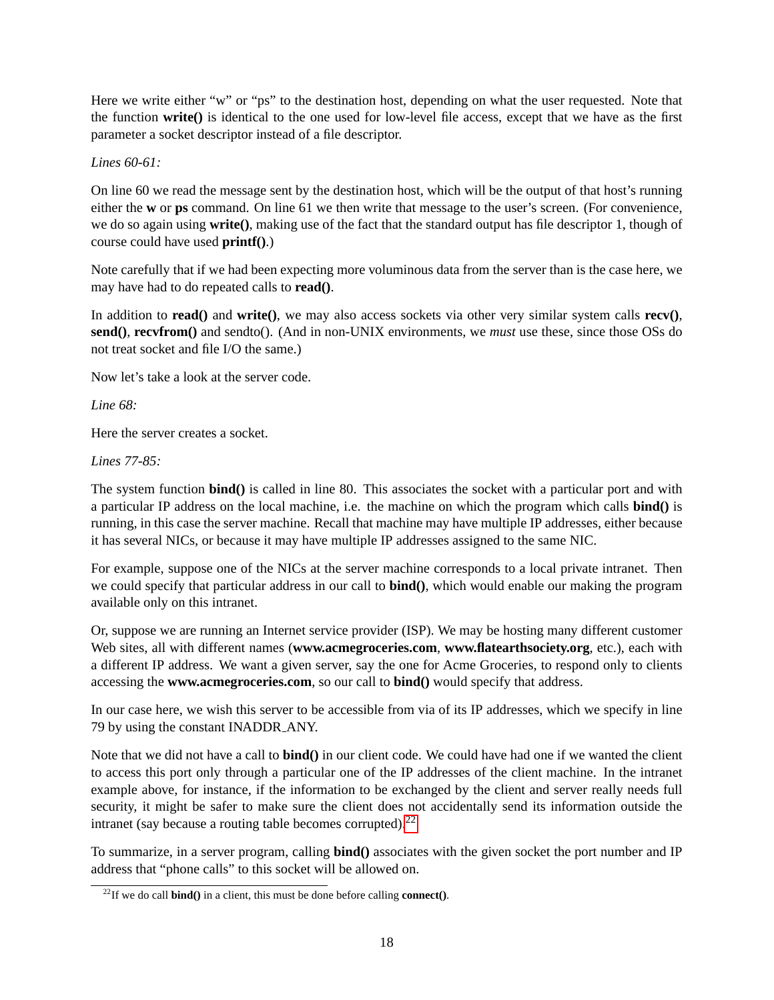Here we write either "w" or "ps" to the destination host, depending on what the user requested. Note that the function **write()** is identical to the one used for low-level file access, except that we have as the first parameter a socket descriptor instead of a file descriptor.

### *Lines 60-61:*

On line 60 we read the message sent by the destination host, which will be the output of that host's running either the **w** or **ps** command. On line 61 we then write that message to the user's screen. (For convenience, we do so again using **write()**, making use of the fact that the standard output has file descriptor 1, though of course could have used **printf()**.)

Note carefully that if we had been expecting more voluminous data from the server than is the case here, we may have had to do repeated calls to **read()**.

In addition to **read()** and **write()**, we may also access sockets via other very similar system calls **recv()**, **send()**, **recvfrom()** and sendto(). (And in non-UNIX environments, we *must* use these, since those OSs do not treat socket and file I/O the same.)

Now let's take a look at the server code.

*Line 68:*

Here the server creates a socket.

### *Lines 77-85:*

The system function **bind()** is called in line 80. This associates the socket with a particular port and with a particular IP address on the local machine, i.e. the machine on which the program which calls **bind()** is running, in this case the server machine. Recall that machine may have multiple IP addresses, either because it has several NICs, or because it may have multiple IP addresses assigned to the same NIC.

For example, suppose one of the NICs at the server machine corresponds to a local private intranet. Then we could specify that particular address in our call to **bind()**, which would enable our making the program available only on this intranet.

Or, suppose we are running an Internet service provider (ISP). We may be hosting many different customer Web sites, all with different names (**www.acmegroceries.com**, **www.flatearthsociety.org**, etc.), each with a different IP address. We want a given server, say the one for Acme Groceries, to respond only to clients accessing the **www.acmegroceries.com**, so our call to **bind()** would specify that address.

In our case here, we wish this server to be accessible from via of its IP addresses, which we specify in line 79 by using the constant INADDR ANY.

Note that we did not have a call to **bind()** in our client code. We could have had one if we wanted the client to access this port only through a particular one of the IP addresses of the client machine. In the intranet example above, for instance, if the information to be exchanged by the client and server really needs full security, it might be safer to make sure the client does not accidentally send its information outside the intranet (say because a routing table becomes corrupted). $^{22}$  $^{22}$  $^{22}$ 

To summarize, in a server program, calling **bind()** associates with the given socket the port number and IP address that "phone calls" to this socket will be allowed on.

<span id="page-17-0"></span><sup>&</sup>lt;sup>22</sup>If we do call **bind**() in a client, this must be done before calling **connect**().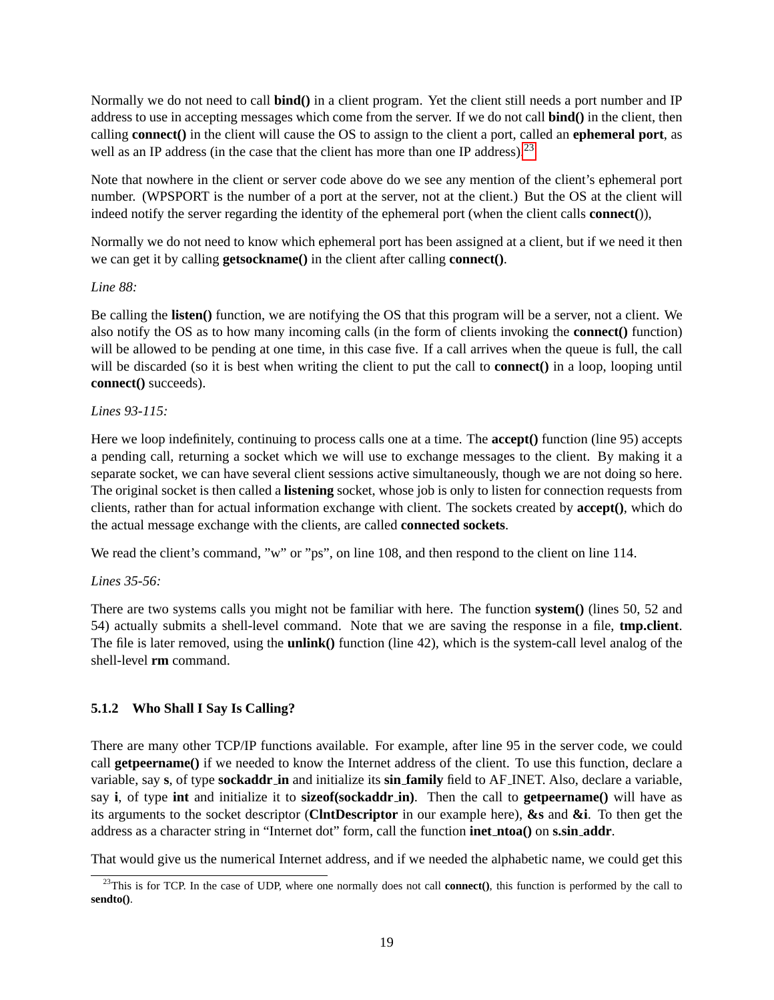Normally we do not need to call **bind()** in a client program. Yet the client still needs a port number and IP address to use in accepting messages which come from the server. If we do not call **bind()** in the client, then calling **connect()** in the client will cause the OS to assign to the client a port, called an **ephemeral port**, as well as an IP address (in the case that the client has more than one IP address).<sup>[23](#page-18-1)</sup>

Note that nowhere in the client or server code above do we see any mention of the client's ephemeral port number. (WPSPORT is the number of a port at the server, not at the client.) But the OS at the client will indeed notify the server regarding the identity of the ephemeral port (when the client calls **connect(**)),

Normally we do not need to know which ephemeral port has been assigned at a client, but if we need it then we can get it by calling **getsockname()** in the client after calling **connect()**.

#### *Line 88:*

Be calling the **listen()** function, we are notifying the OS that this program will be a server, not a client. We also notify the OS as to how many incoming calls (in the form of clients invoking the **connect()** function) will be allowed to be pending at one time, in this case five. If a call arrives when the queue is full, the call will be discarded (so it is best when writing the client to put the call to **connect**() in a loop, looping until **connect()** succeeds).

#### *Lines 93-115:*

Here we loop indefinitely, continuing to process calls one at a time. The **accept()** function (line 95) accepts a pending call, returning a socket which we will use to exchange messages to the client. By making it a separate socket, we can have several client sessions active simultaneously, though we are not doing so here. The original socket is then called a **listening** socket, whose job is only to listen for connection requests from clients, rather than for actual information exchange with client. The sockets created by **accept()**, which do the actual message exchange with the clients, are called **connected sockets**.

We read the client's command, "w" or "ps", on line 108, and then respond to the client on line 114.

#### *Lines 35-56:*

There are two systems calls you might not be familiar with here. The function **system()** (lines 50, 52 and 54) actually submits a shell-level command. Note that we are saving the response in a file, **tmp.client**. The file is later removed, using the **unlink()** function (line 42), which is the system-call level analog of the shell-level **rm** command.

# <span id="page-18-0"></span>**5.1.2 Who Shall I Say Is Calling?**

There are many other TCP/IP functions available. For example, after line 95 in the server code, we could call **getpeername()** if we needed to know the Internet address of the client. To use this function, declare a variable, say **s**, of type **sockaddr in** and initialize its **sin family** field to AF INET. Also, declare a variable, say **i**, of type **int** and initialize it to **sizeof(sockaddr in)**. Then the call to **getpeername()** will have as its arguments to the socket descriptor (**ClntDescriptor** in our example here), **&s** and **&i**. To then get the address as a character string in "Internet dot" form, call the function **inet ntoa()** on **s.sin addr**.

That would give us the numerical Internet address, and if we needed the alphabetic name, we could get this

<span id="page-18-1"></span><sup>&</sup>lt;sup>23</sup>This is for TCP. In the case of UDP, where one normally does not call **connect**(), this function is performed by the call to **sendto()**.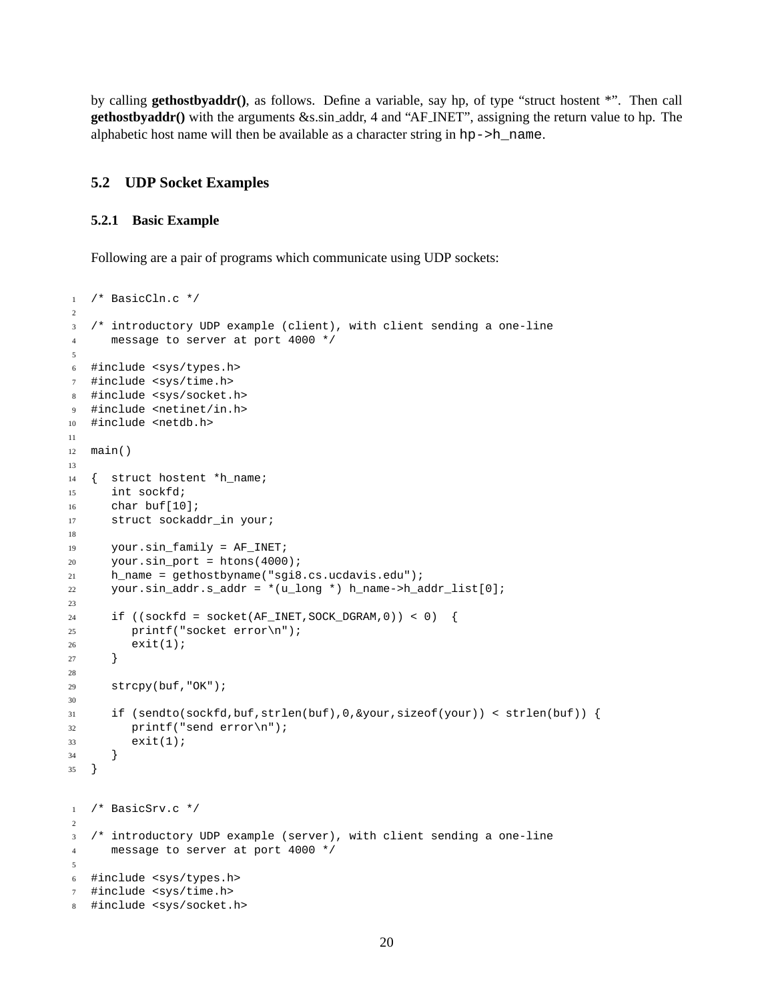by calling **gethostbyaddr()**, as follows. Define a variable, say hp, of type "struct hostent \*". Then call **gethostbyaddr()** with the arguments &s.sin addr, 4 and "AF INET", assigning the return value to hp. The alphabetic host name will then be available as a character string in hp->h\_name.

#### <span id="page-19-0"></span>**5.2 UDP Socket Examples**

#### <span id="page-19-1"></span>**5.2.1 Basic Example**

Following are a pair of programs which communicate using UDP sockets:

```
1 / * BasicCln.c */2
3 /* introductory UDP example (client), with client sending a one-line
4 message to server at port 4000 */
5
6 #include <sys/types.h>
7 #include <sys/time.h>
8 #include <sys/socket.h>
9 #include <netinet/in.h>
10 #include <netdb.h>
11
12 main()
13
14 { struct hostent *h_name;
15 int sockfd;
16 char buf[10];
17 struct sockaddr_in your;
18
19 your.sin_family = AF_INET;
20 your.sin_port = htons(4000);
21 h_name = gethostbyname("sgi8.cs.ucdavis.edu");
22 your.sin_addr.s_addr = *(u_long *) h_name->h_addr_list[0];
23
24 if ((\text{sockfd} = \text{socket}(\text{AF\_INET},\text{SOCK\_DGRAM},0)) < 0) {
25 printf("socket error\n");
26 exit(1);
27 }
2829 strcpy(buf,"OK");
30
31 if (sendto(sockfd,buf,strlen(buf),0,&your,sizeof(your)) < strlen(buf)) {
32 printf("send error\n");
33 exit(1);
34 }
35 }
1 /* BasicSrv.c */
2
3 /* introductory UDP example (server), with client sending a one-line
4 message to server at port 4000 */
5
6 #include <sys/types.h>
7 #include <sys/time.h>
8 #include <sys/socket.h>
```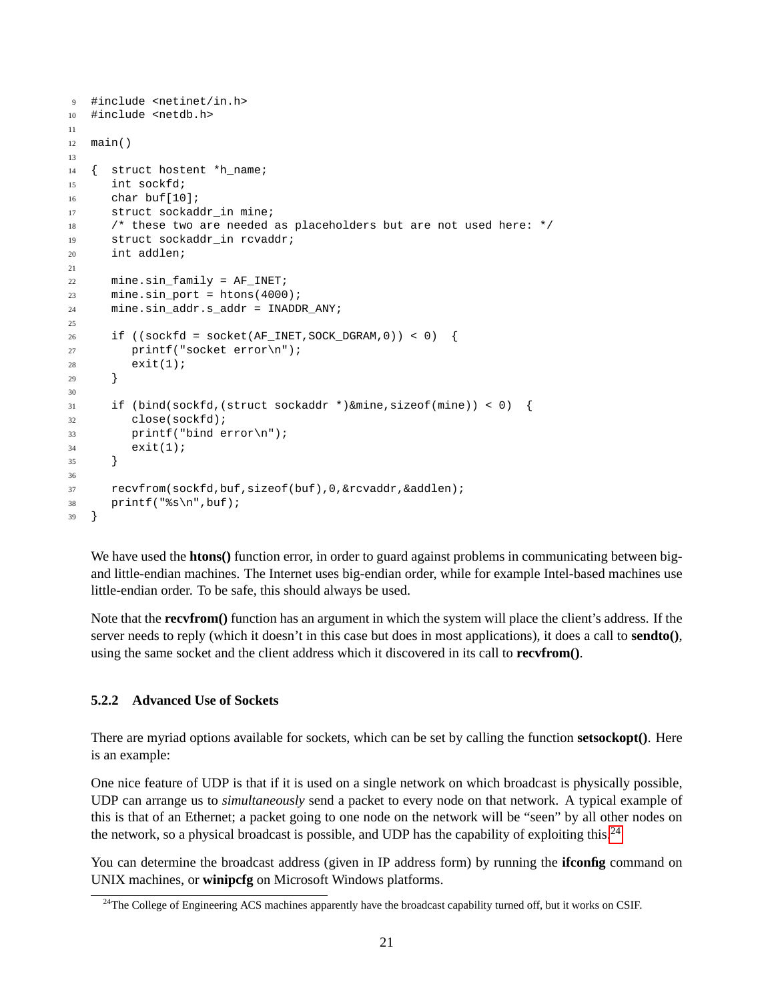```
9 #include <netinet/in.h>
10 #include <netdb.h>
11
12 main()
13
14 { struct hostent *h_name;
15 int sockfd;
16 char buf[10];
17 struct sockaddr_in mine;
18 /* these two are needed as placeholders but are not used here: */
19 struct sockaddr_in rcvaddr;
20 int addlen;
21
22 mine.sin_family = AF_INET;
23 mine.sin_port = htons(4000);
24 mine.sin_addr.s_addr = INADDR_ANY;
25
26 if ((sockfd = socket(AF_INET, SOCK_DGRAM, 0)) < 0) {
27 printf("socket error\n");
28 exit(1);
29 }
30
31 if (bind(sockfd,(struct sockaddr *)&mine,sizeof(mine)) < 0) {
32 close(sockfd);
33 printf("bind error\n");
34 exit(1);
35 }
36
37 recvfrom(sockfd,buf,sizeof(buf),0,&rcvaddr,&addlen);
38 printf("%s\n",buf);
39 }
```
We have used the **htons**() function error, in order to guard against problems in communicating between bigand little-endian machines. The Internet uses big-endian order, while for example Intel-based machines use little-endian order. To be safe, this should always be used.

Note that the **recvfrom()** function has an argument in which the system will place the client's address. If the server needs to reply (which it doesn't in this case but does in most applications), it does a call to **sendto()**, using the same socket and the client address which it discovered in its call to **recvfrom()**.

#### <span id="page-20-0"></span>**5.2.2 Advanced Use of Sockets**

There are myriad options available for sockets, which can be set by calling the function **setsockopt()**. Here is an example:

One nice feature of UDP is that if it is used on a single network on which broadcast is physically possible, UDP can arrange us to *simultaneously* send a packet to every node on that network. A typical example of this is that of an Ethernet; a packet going to one node on the network will be "seen" by all other nodes on the network, so a physical broadcast is possible, and UDP has the capability of exploiting this.[24](#page-20-1)

You can determine the broadcast address (given in IP address form) by running the **ifconfig** command on UNIX machines, or **winipcfg** on Microsoft Windows platforms.

<span id="page-20-1"></span><sup>&</sup>lt;sup>24</sup>The College of Engineering ACS machines apparently have the broadcast capability turned off, but it works on CSIF.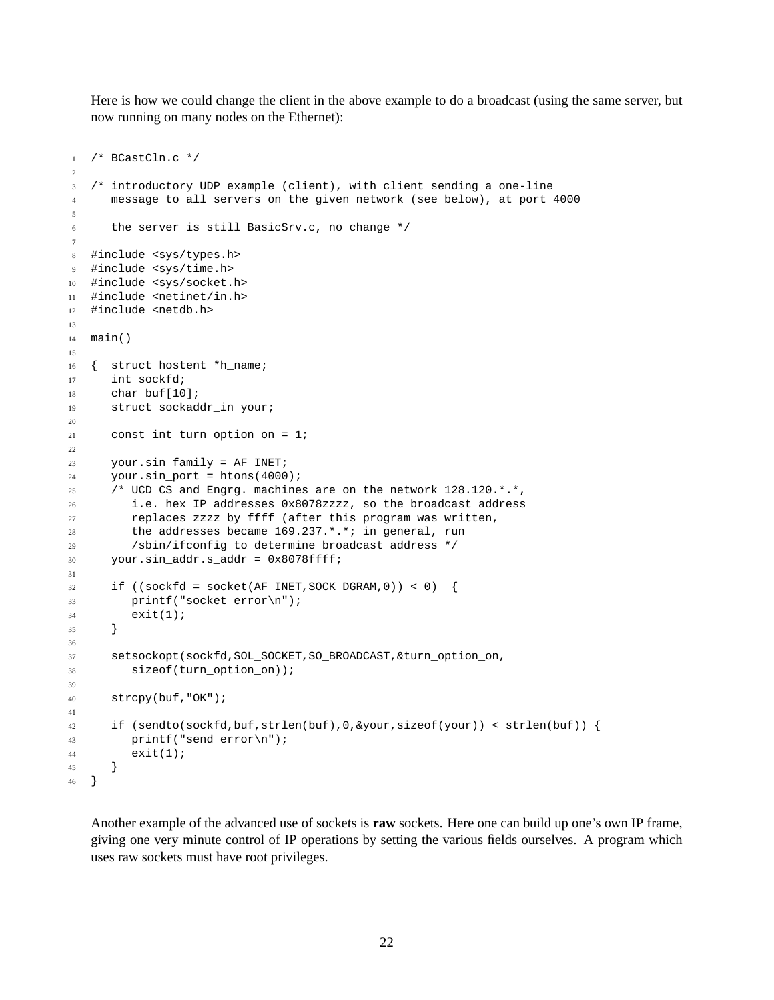Here is how we could change the client in the above example to do a broadcast (using the same server, but now running on many nodes on the Ethernet):

```
1 /* BCastCln.c */
2
3 /* introductory UDP example (client), with client sending a one-line
4 message to all servers on the given network (see below), at port 4000
5
6 the server is still BasicSrv.c, no change */
7
8 #include <sys/types.h>
9 #include <sys/time.h>
10 #include <sys/socket.h>
11 #include <netinet/in.h>
12 #include <netdb.h>
13
14 main()
15
16 { struct hostent *h_name;
17 int sockfd;
18 char buf[10];
19 struct sockaddr_in your;
2021 const int turn_option_on = 1;
22
23 your.sin_family = AF_INET;
24 your.sin_port = htons(4000);
25 /* UCD CS and Engrg. machines are on the network 128.120.*.*,
26 i.e. hex IP addresses 0x8078zzzz, so the broadcast address
27 replaces zzzz by ffff (after this program was written,
28 the addresses became 169.237.*.*; in general, run
29 /sbin/ifconfig to determine broadcast address */
30 your.sin_addr.s_addr = 0x8078ffff;
31
\text{if } ((\text{sockfd} = \text{socket}(\text{AF\_INET}, \text{SOCK\_DGRAM}, 0)) < 0)33 printf("socket error\n");
34 exit(1);
35 }
36
37 setsockopt(sockfd,SOL_SOCKET,SO_BROADCAST,&turn_option_on,
38 sizeof(turn_option_on));
39
40 strcpy(buf,"OK");
41
42 if (sendto(sockfd,buf,strlen(buf),0,&your,sizeof(your)) < strlen(buf)) {
43 printf("send error\n");
44 exit(1);
45 }
46 }
```
Another example of the advanced use of sockets is **raw** sockets. Here one can build up one's own IP frame, giving one very minute control of IP operations by setting the various fields ourselves. A program which uses raw sockets must have root privileges.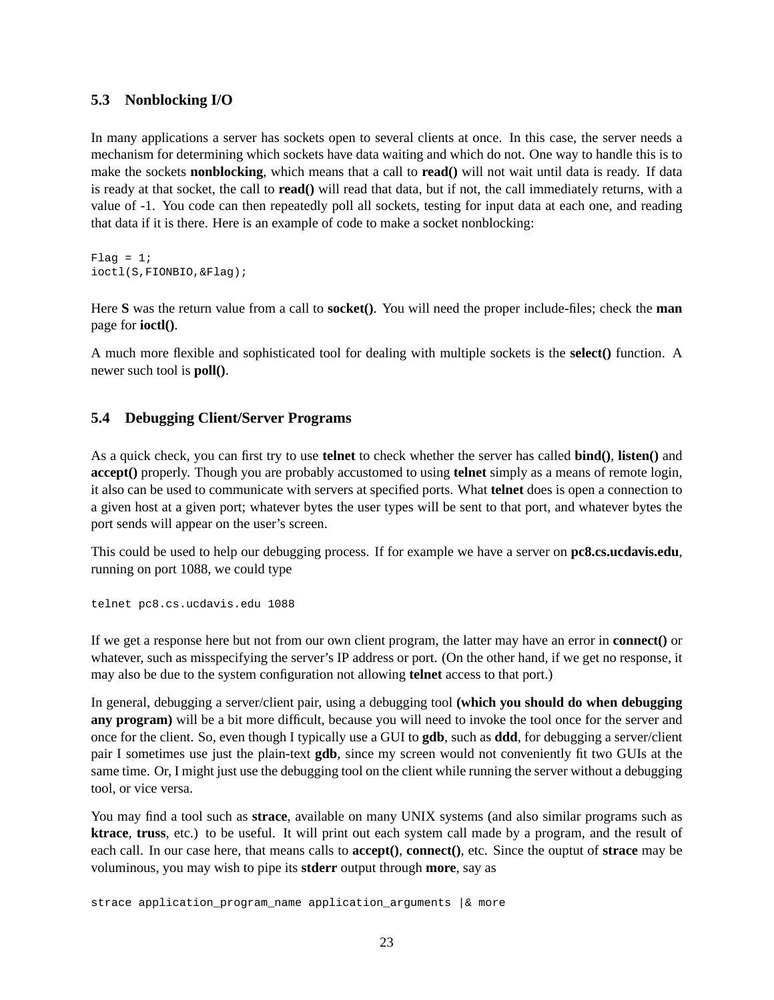### <span id="page-22-0"></span>**5.3 Nonblocking I/O**

In many applications a server has sockets open to several clients at once. In this case, the server needs a mechanism for determining which sockets have data waiting and which do not. One way to handle this is to make the sockets **nonblocking**, which means that a call to **read()** will not wait until data is ready. If data is ready at that socket, the call to **read()** will read that data, but if not, the call immediately returns, with a value of -1. You code can then repeatedly poll all sockets, testing for input data at each one, and reading that data if it is there. Here is an example of code to make a socket nonblocking:

 $Flag = 1;$ ioctl(S,FIONBIO,&Flag);

Here **S** was the return value from a call to **socket()**. You will need the proper include-files; check the **man** page for **ioctl()**.

A much more flexible and sophisticated tool for dealing with multiple sockets is the **select()** function. A newer such tool is **poll()**.

### <span id="page-22-1"></span>**5.4 Debugging Client/Server Programs**

As a quick check, you can first try to use **telnet** to check whether the server has called **bind()**, **listen()** and **accept()** properly. Though you are probably accustomed to using **telnet** simply as a means of remote login, it also can be used to communicate with servers at specified ports. What **telnet** does is open a connection to a given host at a given port; whatever bytes the user types will be sent to that port, and whatever bytes the port sends will appear on the user's screen.

This could be used to help our debugging process. If for example we have a server on **pc8.cs.ucdavis.edu**, running on port 1088, we could type

telnet pc8.cs.ucdavis.edu 1088

If we get a response here but not from our own client program, the latter may have an error in **connect()** or whatever, such as misspecifying the server's IP address or port. (On the other hand, if we get no response, it may also be due to the system configuration not allowing **telnet** access to that port.)

In general, debugging a server/client pair, using a debugging tool **(which you should do when debugging any program)** will be a bit more difficult, because you will need to invoke the tool once for the server and once for the client. So, even though I typically use a GUI to **gdb**, such as **ddd**, for debugging a server/client pair I sometimes use just the plain-text **gdb**, since my screen would not conveniently fit two GUIs at the same time. Or, I might just use the debugging tool on the client while running the server without a debugging tool, or vice versa.

You may find a tool such as **strace**, available on many UNIX systems (and also similar programs such as **ktrace**, **truss**, etc.) to be useful. It will print out each system call made by a program, and the result of each call. In our case here, that means calls to **accept()**, **connect()**, etc. Since the ouptut of **strace** may be voluminous, you may wish to pipe its **stderr** output through **more**, say as

strace application\_program\_name application\_arguments |& more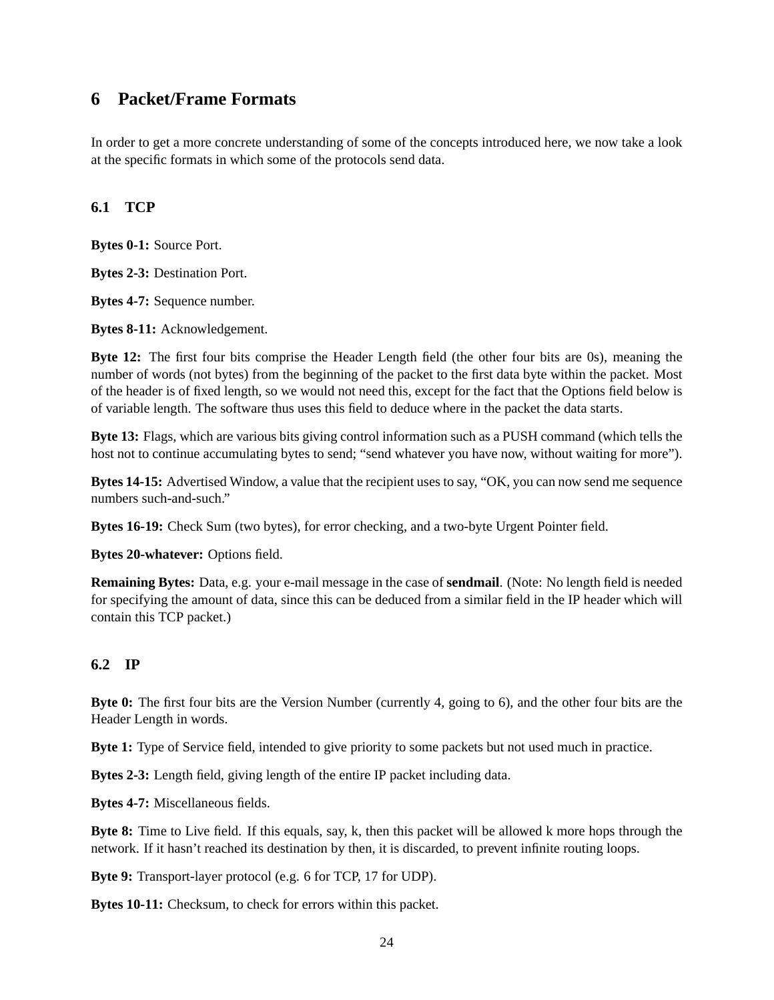# <span id="page-23-0"></span>**6 Packet/Frame Formats**

In order to get a more concrete understanding of some of the concepts introduced here, we now take a look at the specific formats in which some of the protocols send data.

# <span id="page-23-1"></span>**6.1 TCP**

**Bytes 0-1:** Source Port.

**Bytes 2-3:** Destination Port.

**Bytes 4-7:** Sequence number.

**Bytes 8-11:** Acknowledgement.

**Byte 12:** The first four bits comprise the Header Length field (the other four bits are 0s), meaning the number of words (not bytes) from the beginning of the packet to the first data byte within the packet. Most of the header is of fixed length, so we would not need this, except for the fact that the Options field below is of variable length. The software thus uses this field to deduce where in the packet the data starts.

**Byte 13:** Flags, which are various bits giving control information such as a PUSH command (which tells the host not to continue accumulating bytes to send; "send whatever you have now, without waiting for more").

**Bytes 14-15:** Advertised Window, a value that the recipient uses to say, "OK, you can now send me sequence numbers such-and-such."

**Bytes 16-19:** Check Sum (two bytes), for error checking, and a two-byte Urgent Pointer field.

**Bytes 20-whatever:** Options field.

**Remaining Bytes:** Data, e.g. your e-mail message in the case of **sendmail**. (Note: No length field is needed for specifying the amount of data, since this can be deduced from a similar field in the IP header which will contain this TCP packet.)

# <span id="page-23-2"></span>**6.2 IP**

**Byte 0:** The first four bits are the Version Number (currently 4, going to 6), and the other four bits are the Header Length in words.

**Byte 1:** Type of Service field, intended to give priority to some packets but not used much in practice.

**Bytes 2-3:** Length field, giving length of the entire IP packet including data.

**Bytes 4-7:** Miscellaneous fields.

**Byte 8:** Time to Live field. If this equals, say, k, then this packet will be allowed k more hops through the network. If it hasn't reached its destination by then, it is discarded, to prevent infinite routing loops.

**Byte 9:** Transport-layer protocol (e.g. 6 for TCP, 17 for UDP).

**Bytes 10-11:** Checksum, to check for errors within this packet.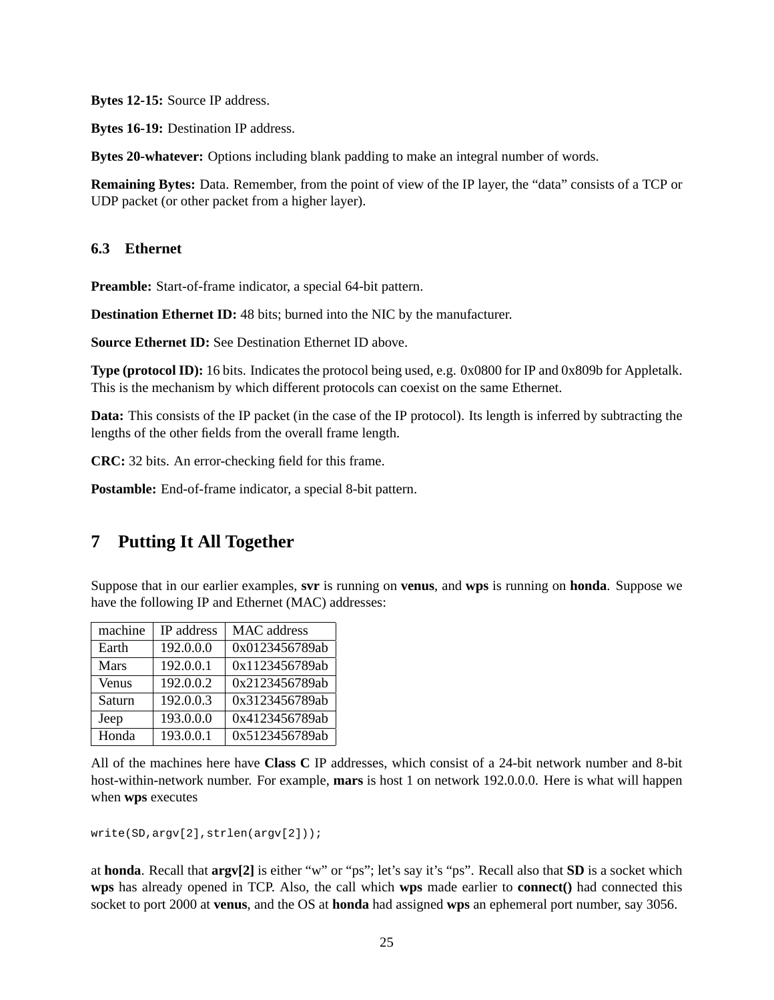**Bytes 12-15:** Source IP address.

**Bytes 16-19:** Destination IP address.

**Bytes 20-whatever:** Options including blank padding to make an integral number of words.

**Remaining Bytes:** Data. Remember, from the point of view of the IP layer, the "data" consists of a TCP or UDP packet (or other packet from a higher layer).

### <span id="page-24-0"></span>**6.3 Ethernet**

**Preamble:** Start-of-frame indicator, a special 64-bit pattern.

**Destination Ethernet ID:** 48 bits; burned into the NIC by the manufacturer.

**Source Ethernet ID:** See Destination Ethernet ID above.

**Type (protocol ID):** 16 bits. Indicates the protocol being used, e.g. 0x0800 for IP and 0x809b for Appletalk. This is the mechanism by which different protocols can coexist on the same Ethernet.

**Data:** This consists of the IP packet (in the case of the IP protocol). Its length is inferred by subtracting the lengths of the other fields from the overall frame length.

**CRC:** 32 bits. An error-checking field for this frame.

**Postamble:** End-of-frame indicator, a special 8-bit pattern.

# <span id="page-24-1"></span>**7 Putting It All Together**

Suppose that in our earlier examples, **svr** is running on **venus**, and **wps** is running on **honda**. Suppose we have the following IP and Ethernet (MAC) addresses:

| machine     | IP address | <b>MAC</b> address |
|-------------|------------|--------------------|
| Earth       | 192.0.0.0  | 0x0123456789ab     |
| <b>Mars</b> | 192.0.0.1  | 0x1123456789ab     |
| Venus       | 192.0.0.2  | 0x2123456789ab     |
| Saturn      | 192.0.0.3  | 0x3123456789ab     |
| Jeep        | 193.0.0.0  | 0x4123456789ab     |
| Honda       | 193.0.0.1  | 0x5123456789ab     |

All of the machines here have **Class C** IP addresses, which consist of a 24-bit network number and 8-bit host-within-network number. For example, **mars** is host 1 on network 192.0.0.0. Here is what will happen when **wps** executes

```
write(SD,argv[2],strlen(argv[2]));
```
at **honda**. Recall that **argv[2]** is either "w" or "ps"; let's say it's "ps". Recall also that **SD** is a socket which **wps** has already opened in TCP. Also, the call which **wps** made earlier to **connect()** had connected this socket to port 2000 at **venus**, and the OS at **honda** had assigned **wps** an ephemeral port number, say 3056.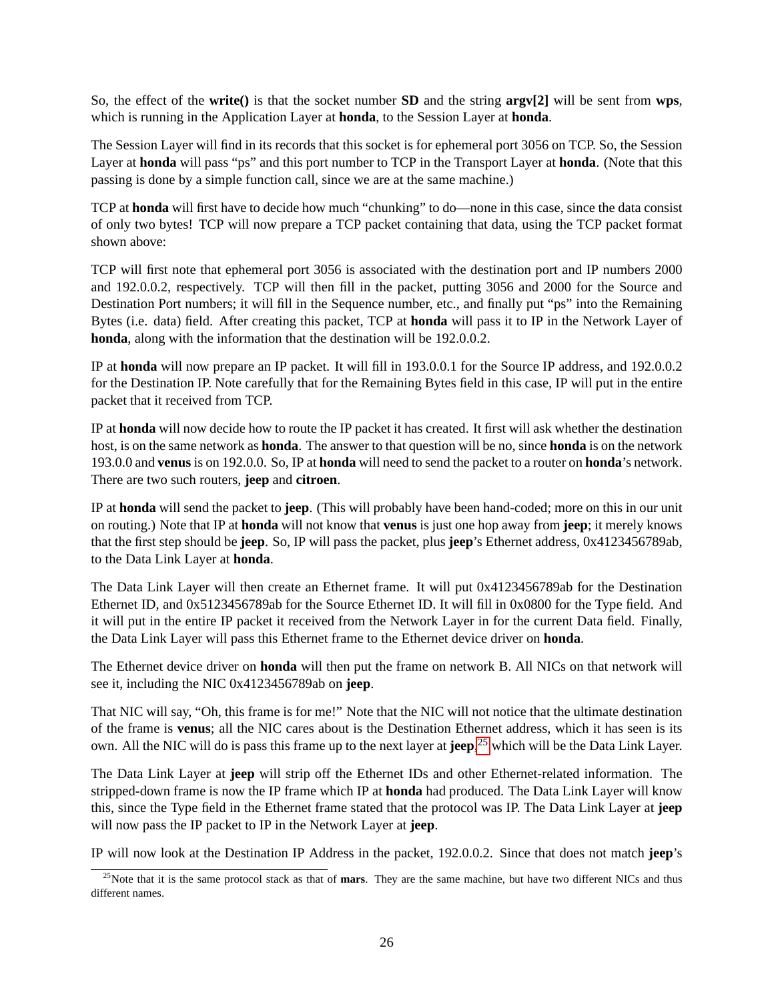So, the effect of the **write()** is that the socket number **SD** and the string **argv[2]** will be sent from **wps**, which is running in the Application Layer at **honda**, to the Session Layer at **honda**.

The Session Layer will find in its records that this socket is for ephemeral port 3056 on TCP. So, the Session Layer at **honda** will pass "ps" and this port number to TCP in the Transport Layer at **honda**. (Note that this passing is done by a simple function call, since we are at the same machine.)

TCP at **honda** will first have to decide how much "chunking" to do—none in this case, since the data consist of only two bytes! TCP will now prepare a TCP packet containing that data, using the TCP packet format shown above:

TCP will first note that ephemeral port 3056 is associated with the destination port and IP numbers 2000 and 192.0.0.2, respectively. TCP will then fill in the packet, putting 3056 and 2000 for the Source and Destination Port numbers; it will fill in the Sequence number, etc., and finally put "ps" into the Remaining Bytes (i.e. data) field. After creating this packet, TCP at **honda** will pass it to IP in the Network Layer of **honda**, along with the information that the destination will be 192.0.0.2.

IP at **honda** will now prepare an IP packet. It will fill in 193.0.0.1 for the Source IP address, and 192.0.0.2 for the Destination IP. Note carefully that for the Remaining Bytes field in this case, IP will put in the entire packet that it received from TCP.

IP at **honda** will now decide how to route the IP packet it has created. It first will ask whether the destination host, is on the same network as **honda**. The answer to that question will be no, since **honda** is on the network 193.0.0 and **venus**is on 192.0.0. So, IP at **honda** will need to send the packet to a router on **honda**'s network. There are two such routers, **jeep** and **citroen**.

IP at **honda** will send the packet to **jeep**. (This will probably have been hand-coded; more on this in our unit on routing.) Note that IP at **honda** will not know that **venus** is just one hop away from **jeep**; it merely knows that the first step should be **jeep**. So, IP will pass the packet, plus **jeep**'s Ethernet address, 0x4123456789ab, to the Data Link Layer at **honda**.

The Data Link Layer will then create an Ethernet frame. It will put 0x4123456789ab for the Destination Ethernet ID, and 0x5123456789ab for the Source Ethernet ID. It will fill in 0x0800 for the Type field. And it will put in the entire IP packet it received from the Network Layer in for the current Data field. Finally, the Data Link Layer will pass this Ethernet frame to the Ethernet device driver on **honda**.

The Ethernet device driver on **honda** will then put the frame on network B. All NICs on that network will see it, including the NIC 0x4123456789ab on **jeep**.

That NIC will say, "Oh, this frame is for me!" Note that the NIC will not notice that the ultimate destination of the frame is **venus**; all the NIC cares about is the Destination Ethernet address, which it has seen is its own. All the NIC will do is pass this frame up to the next layer at **jeep**, [25](#page-25-0) which will be the Data Link Layer.

The Data Link Layer at **jeep** will strip off the Ethernet IDs and other Ethernet-related information. The stripped-down frame is now the IP frame which IP at **honda** had produced. The Data Link Layer will know this, since the Type field in the Ethernet frame stated that the protocol was IP. The Data Link Layer at **jeep** will now pass the IP packet to IP in the Network Layer at **jeep**.

IP will now look at the Destination IP Address in the packet, 192.0.0.2. Since that does not match **jeep**'s

<span id="page-25-0"></span><sup>&</sup>lt;sup>25</sup>Note that it is the same protocol stack as that of **mars**. They are the same machine, but have two different NICs and thus different names.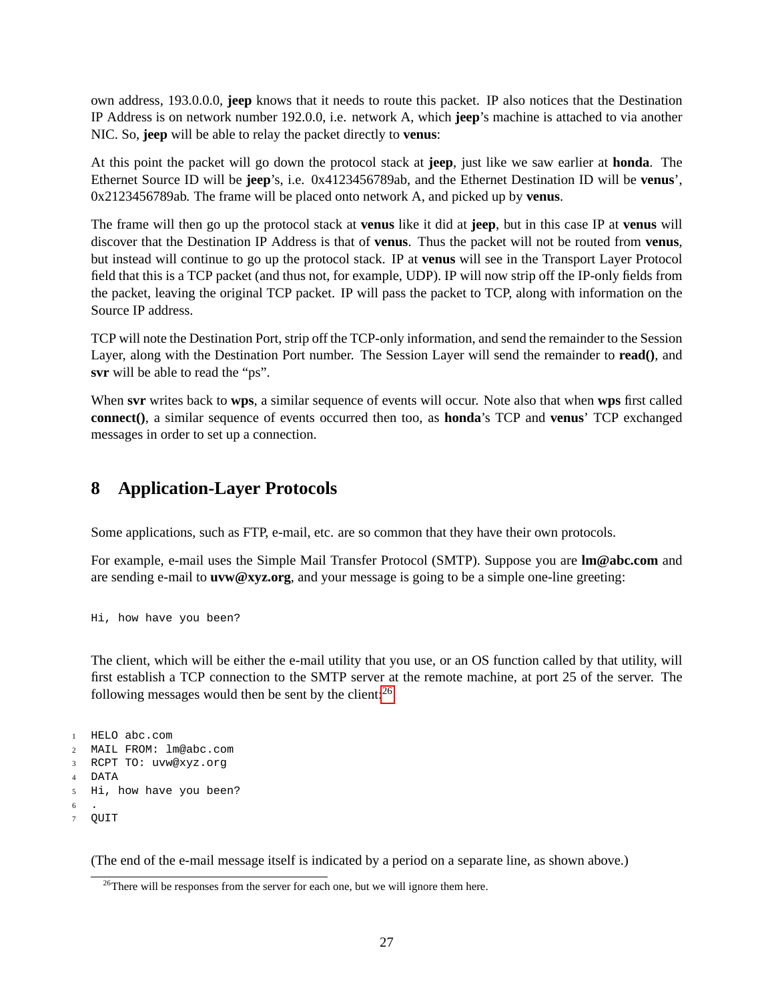own address, 193.0.0.0, **jeep** knows that it needs to route this packet. IP also notices that the Destination IP Address is on network number 192.0.0, i.e. network A, which **jeep**'s machine is attached to via another NIC. So, **jeep** will be able to relay the packet directly to **venus**:

At this point the packet will go down the protocol stack at **jeep**, just like we saw earlier at **honda**. The Ethernet Source ID will be **jeep**'s, i.e. 0x4123456789ab, and the Ethernet Destination ID will be **venus**', 0x2123456789ab. The frame will be placed onto network A, and picked up by **venus**.

The frame will then go up the protocol stack at **venus** like it did at **jeep**, but in this case IP at **venus** will discover that the Destination IP Address is that of **venus**. Thus the packet will not be routed from **venus**, but instead will continue to go up the protocol stack. IP at **venus** will see in the Transport Layer Protocol field that this is a TCP packet (and thus not, for example, UDP). IP will now strip off the IP-only fields from the packet, leaving the original TCP packet. IP will pass the packet to TCP, along with information on the Source IP address.

TCP will note the Destination Port, strip off the TCP-only information, and send the remainder to the Session Layer, along with the Destination Port number. The Session Layer will send the remainder to **read()**, and **svr** will be able to read the "ps".

When **svr** writes back to **wps**, a similar sequence of events will occur. Note also that when **wps** first called **connect()**, a similar sequence of events occurred then too, as **honda**'s TCP and **venus**' TCP exchanged messages in order to set up a connection.

# <span id="page-26-0"></span>**8 Application-Layer Protocols**

Some applications, such as FTP, e-mail, etc. are so common that they have their own protocols.

For example, e-mail uses the Simple Mail Transfer Protocol (SMTP). Suppose you are **lm@abc.com** and are sending e-mail to **uvw@xyz.org**, and your message is going to be a simple one-line greeting:

Hi, how have you been?

The client, which will be either the e-mail utility that you use, or an OS function called by that utility, will first establish a TCP connection to the SMTP server at the remote machine, at port 25 of the server. The following messages would then be sent by the client: $^{26}$  $^{26}$  $^{26}$ 

```
1 HELO abc.com
2 MAIL FROM: lm@abc.com
3 RCPT TO: uvw@xyz.org
4 DATA
5 Hi, how have you been?
6 .
7 QUIT
```
(The end of the e-mail message itself is indicated by a period on a separate line, as shown above.)

<span id="page-26-1"></span> $26$ <sup>26</sup>There will be responses from the server for each one, but we will ignore them here.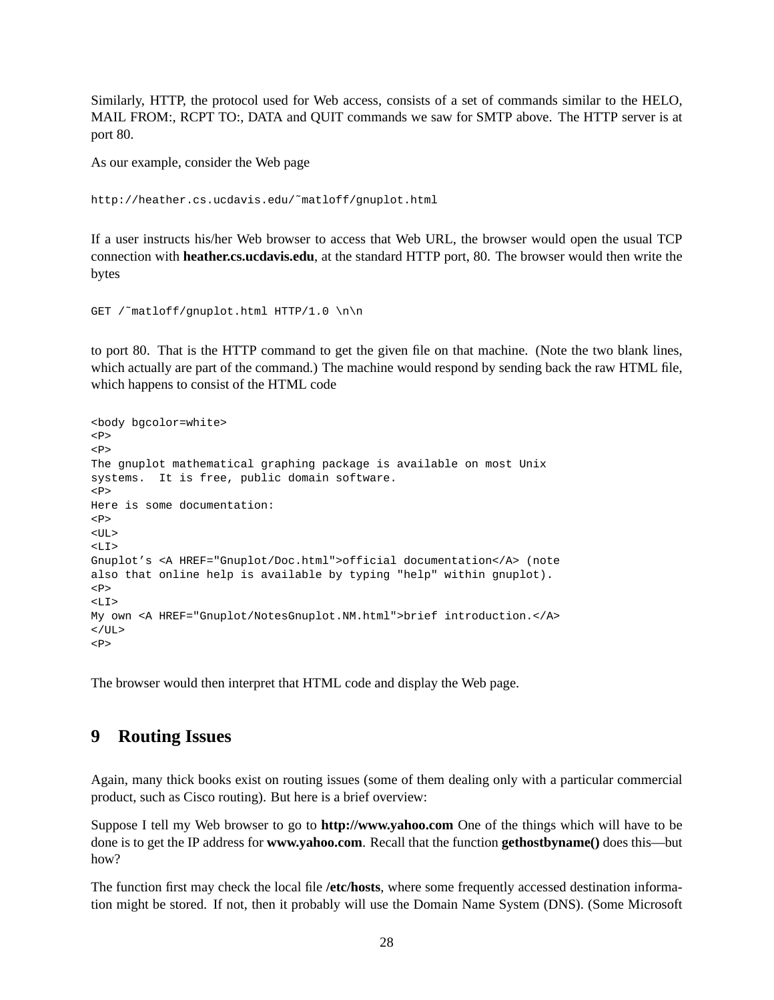Similarly, HTTP, the protocol used for Web access, consists of a set of commands similar to the HELO, MAIL FROM:, RCPT TO:, DATA and QUIT commands we saw for SMTP above. The HTTP server is at port 80.

As our example, consider the Web page

```
http://heather.cs.ucdavis.edu/˜matloff/gnuplot.html
```
If a user instructs his/her Web browser to access that Web URL, the browser would open the usual TCP connection with **heather.cs.ucdavis.edu**, at the standard HTTP port, 80. The browser would then write the bytes

GET /˜matloff/gnuplot.html HTTP/1.0 \n\n

to port 80. That is the HTTP command to get the given file on that machine. (Note the two blank lines, which actually are part of the command.) The machine would respond by sending back the raw HTML file, which happens to consist of the HTML code

```
<body bgcolor=white>
PPThe gnuplot mathematical graphing package is available on most Unix
systems. It is free, public domain software.
PHere is some documentation:
P<ULI>\langle T, T \rangleGnuplot's <A HREF="Gnuplot/Doc.html">official documentation</A> (note
also that online help is available by typing "help" within gnuplot).
CDS<sub>L</sub>T<sub>0</sub></sub>
My own <A HREF="Gnuplot/NotesGnuplot.NM.html">brief introduction.</A>
\langle /UL>
P
```
The browser would then interpret that HTML code and display the Web page.

# <span id="page-27-0"></span>**9 Routing Issues**

Again, many thick books exist on routing issues (some of them dealing only with a particular commercial product, such as Cisco routing). But here is a brief overview:

Suppose I tell my Web browser to go to **http://www.yahoo.com** One of the things which will have to be done is to get the IP address for **www.yahoo.com**. Recall that the function **gethostbyname()** does this—but how?

The function first may check the local file **/etc/hosts**, where some frequently accessed destination information might be stored. If not, then it probably will use the Domain Name System (DNS). (Some Microsoft